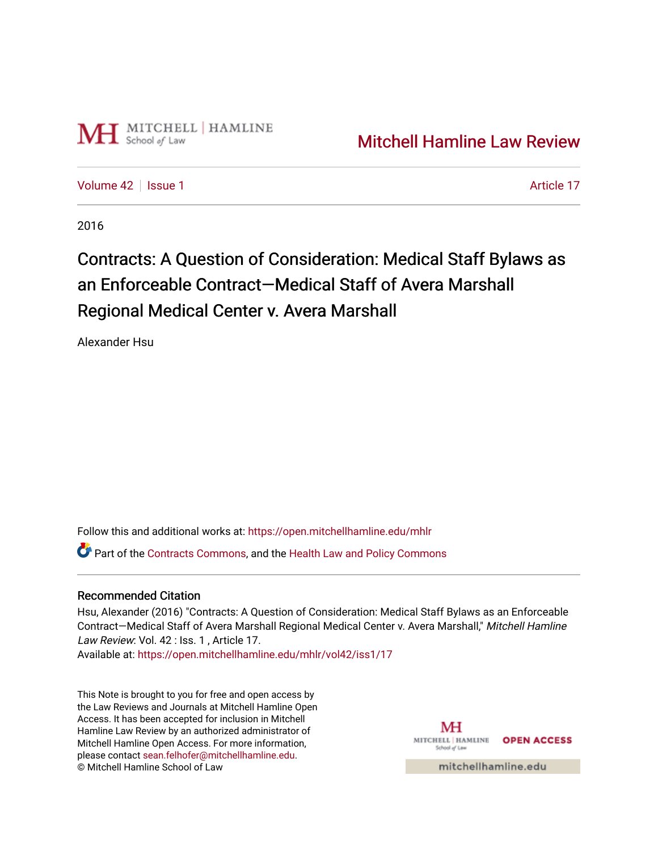

[Volume 42](https://open.mitchellhamline.edu/mhlr/vol42) | [Issue 1](https://open.mitchellhamline.edu/mhlr/vol42/iss1) Article 17

2016

# Contracts: A Question of Consideration: Medical Staff Bylaws as an Enforceable Contract—Medical Staff of Avera Marshall Regional Medical Center v. Avera Marshall

Alexander Hsu

Follow this and additional works at: [https://open.mitchellhamline.edu/mhlr](https://open.mitchellhamline.edu/mhlr?utm_source=open.mitchellhamline.edu%2Fmhlr%2Fvol42%2Fiss1%2F17&utm_medium=PDF&utm_campaign=PDFCoverPages) 

**C**<sup> $\bullet$ </sup> Part of the [Contracts Commons](http://network.bepress.com/hgg/discipline/591?utm_source=open.mitchellhamline.edu%2Fmhlr%2Fvol42%2Fiss1%2F17&utm_medium=PDF&utm_campaign=PDFCoverPages), and the Health Law and Policy Commons

# Recommended Citation

Hsu, Alexander (2016) "Contracts: A Question of Consideration: Medical Staff Bylaws as an Enforceable Contract—Medical Staff of Avera Marshall Regional Medical Center v. Avera Marshall," Mitchell Hamline Law Review: Vol. 42 : Iss. 1, Article 17.

Available at: [https://open.mitchellhamline.edu/mhlr/vol42/iss1/17](https://open.mitchellhamline.edu/mhlr/vol42/iss1/17?utm_source=open.mitchellhamline.edu%2Fmhlr%2Fvol42%2Fiss1%2F17&utm_medium=PDF&utm_campaign=PDFCoverPages)

This Note is brought to you for free and open access by the Law Reviews and Journals at Mitchell Hamline Open Access. It has been accepted for inclusion in Mitchell Hamline Law Review by an authorized administrator of Mitchell Hamline Open Access. For more information, please contact [sean.felhofer@mitchellhamline.edu.](mailto:sean.felhofer@mitchellhamline.edu) © Mitchell Hamline School of Law

MH MITCHELL HAMLINE OPEN ACCESS School of Lav

mitchellhamline.edu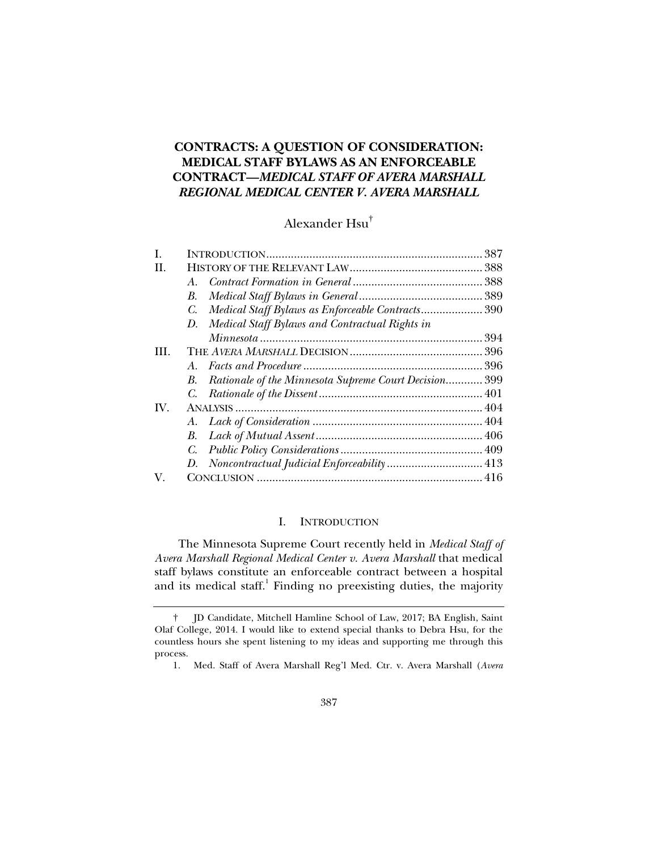# **CONTRACTS: A QUESTION OF CONSIDERATION: MEDICAL STAFF BYLAWS AS AN ENFORCEABLE CONTRACT—***MEDICAL STAFF OF AVERA MARSHALL REGIONAL MEDICAL CENTER V. AVERA MARSHALL*

# Alexander Hsu†

| L    |                                                             |  |
|------|-------------------------------------------------------------|--|
| H.   |                                                             |  |
|      | $A_{-}$                                                     |  |
|      | В.                                                          |  |
|      | Medical Staff Bylaws as Enforceable Contracts 390<br>C.     |  |
|      | Medical Staff Bylaws and Contractual Rights in<br>D.        |  |
|      |                                                             |  |
| III. |                                                             |  |
|      | A                                                           |  |
|      | Rationale of the Minnesota Supreme Court Decision 399<br>B. |  |
|      |                                                             |  |
| IV.  |                                                             |  |
|      |                                                             |  |
|      | B.                                                          |  |
|      | C.                                                          |  |
|      |                                                             |  |
| V.   |                                                             |  |
|      |                                                             |  |

# I. INTRODUCTION

The Minnesota Supreme Court recently held in *Medical Staff of Avera Marshall Regional Medical Center v. Avera Marshall* that medical staff bylaws constitute an enforceable contract between a hospital and its medical staff.<sup>1</sup> Finding no preexisting duties, the majority

 <sup>†</sup> JD Candidate, Mitchell Hamline School of Law, 2017; BA English, Saint Olaf College, 2014. I would like to extend special thanks to Debra Hsu, for the countless hours she spent listening to my ideas and supporting me through this process.

 <sup>1.</sup> Med. Staff of Avera Marshall Reg'l Med. Ctr. v. Avera Marshall (*Avera*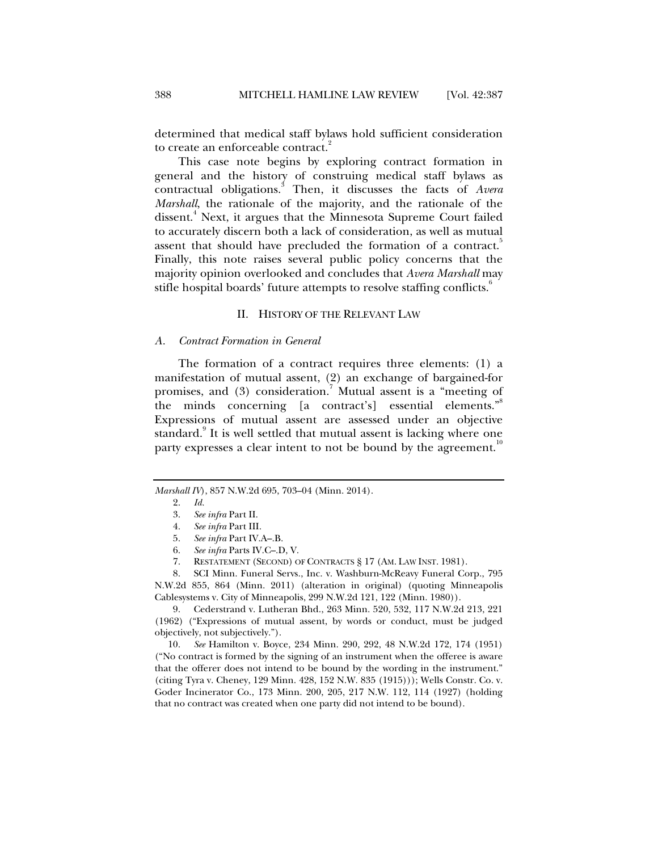determined that medical staff bylaws hold sufficient consideration to create an enforceable contract.<sup>2</sup>

This case note begins by exploring contract formation in general and the history of construing medical staff bylaws as contractual obligations.<sup>3</sup> Then, it discusses the facts of *Avera Marshall*, the rationale of the majority, and the rationale of the dissent.<sup>4</sup> Next, it argues that the Minnesota Supreme Court failed to accurately discern both a lack of consideration, as well as mutual assent that should have precluded the formation of a contract. Finally, this note raises several public policy concerns that the majority opinion overlooked and concludes that *Avera Marshall* may stifle hospital boards' future attempts to resolve staffing conflicts.

## II. HISTORY OF THE RELEVANT LAW

# *A. Contract Formation in General*

The formation of a contract requires three elements: (1) a manifestation of mutual assent, (2) an exchange of bargained-for promises, and (3) consideration.<sup>7</sup> Mutual assent is a "meeting of the minds concerning [a contract's] essential elements."<sup>8</sup> Expressions of mutual assent are assessed under an objective standard.<sup>9</sup> It is well settled that mutual assent is lacking where one party expresses a clear intent to not be bound by the agreement.<sup>10</sup>

- 5. *See infra* Part IV.A–.B.
- 6. *See infra* Parts IV.C–.D, V.
- 7. RESTATEMENT (SECOND) OF CONTRACTS § 17 (AM. LAW INST. 1981).

 8. SCI Minn. Funeral Servs., Inc. v. Washburn-McReavy Funeral Corp., 795 N.W.2d 855, 864 (Minn. 2011) (alteration in original) (quoting Minneapolis Cablesystems v. City of Minneapolis, 299 N.W.2d 121, 122 (Minn. 1980)).

 9. Cederstrand v. Lutheran Bhd., 263 Minn. 520, 532, 117 N.W.2d 213, 221 (1962) ("Expressions of mutual assent, by words or conduct, must be judged objectively, not subjectively.").

 10. *See* Hamilton v. Boyce, 234 Minn. 290, 292, 48 N.W.2d 172, 174 (1951) ("No contract is formed by the signing of an instrument when the offeree is aware that the offerer does not intend to be bound by the wording in the instrument." (citing Tyra v. Cheney, 129 Minn. 428, 152 N.W. 835 (1915))); Wells Constr. Co. v. Goder Incinerator Co., 173 Minn. 200, 205, 217 N.W. 112, 114 (1927) (holding that no contract was created when one party did not intend to be bound).

*Marshall IV*), 857 N.W.2d 695, 703–04 (Minn. 2014).

 <sup>2.</sup> *Id.*

 <sup>3.</sup> *See infra* Part II.

 <sup>4.</sup> *See infra* Part III.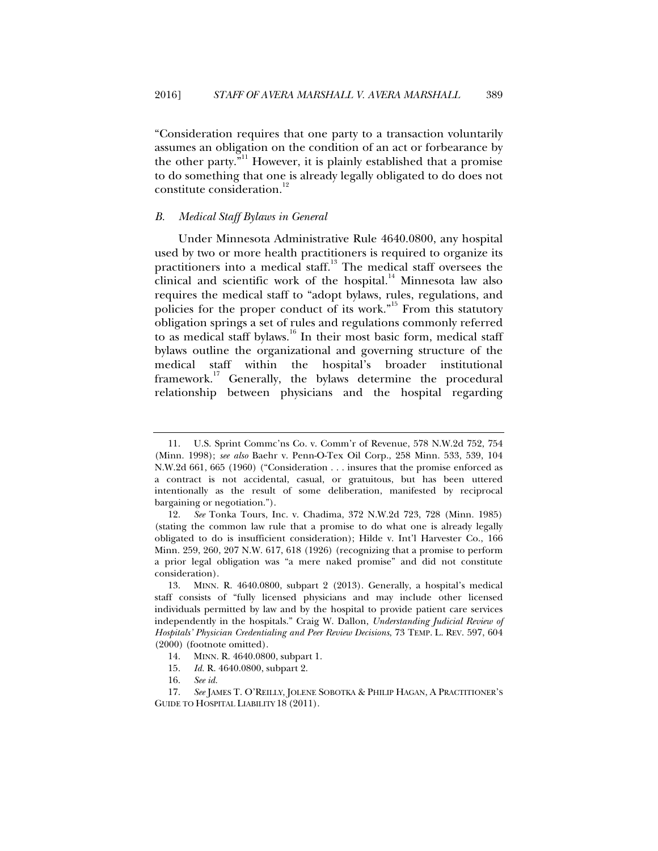"Consideration requires that one party to a transaction voluntarily assumes an obligation on the condition of an act or forbearance by the other party. $\bar{v}^{11}$  However, it is plainly established that a promise to do something that one is already legally obligated to do does not constitute consideration.<sup>12</sup>

## *B. Medical Staff Bylaws in General*

Under Minnesota Administrative Rule 4640.0800, any hospital used by two or more health practitioners is required to organize its practitioners into a medical staff.<sup>13</sup> The medical staff oversees the clinical and scientific work of the hospital. $14$  Minnesota law also requires the medical staff to "adopt bylaws, rules, regulations, and policies for the proper conduct of its work."<sup>15</sup> From this statutory obligation springs a set of rules and regulations commonly referred to as medical staff bylaws.<sup>16</sup> In their most basic form, medical staff bylaws outline the organizational and governing structure of the medical staff within the hospital's broader institutional framework.<sup>17</sup> Generally, the bylaws determine the procedural relationship between physicians and the hospital regarding

 <sup>11.</sup> U.S. Sprint Commc'ns Co. v. Comm'r of Revenue, 578 N.W.2d 752, 754 (Minn. 1998); *see also* Baehr v. Penn-O-Tex Oil Corp., 258 Minn. 533, 539, 104 N.W.2d 661, 665 (1960) ("Consideration . . . insures that the promise enforced as a contract is not accidental, casual, or gratuitous, but has been uttered intentionally as the result of some deliberation, manifested by reciprocal bargaining or negotiation.").

 <sup>12.</sup> *See* Tonka Tours, Inc. v. Chadima, 372 N.W.2d 723, 728 (Minn. 1985) (stating the common law rule that a promise to do what one is already legally obligated to do is insufficient consideration); Hilde v. Int'l Harvester Co., 166 Minn. 259, 260, 207 N.W. 617, 618 (1926) (recognizing that a promise to perform a prior legal obligation was "a mere naked promise" and did not constitute consideration).

 <sup>13.</sup> MINN. R. 4640.0800, subpart 2 (2013). Generally, a hospital's medical staff consists of "fully licensed physicians and may include other licensed individuals permitted by law and by the hospital to provide patient care services independently in the hospitals." Craig W. Dallon, *Understanding Judicial Review of Hospitals' Physician Credentialing and Peer Review Decisions*, 73 TEMP. L. REV. 597, 604 (2000) (footnote omitted).

 <sup>14.</sup> MINN. R. 4640.0800, subpart 1.

 <sup>15.</sup> *Id.* R. 4640.0800, subpart 2.

 <sup>16.</sup> *See id.*

 <sup>17.</sup> *See* JAMES T. O'REILLY, JOLENE SOBOTKA & PHILIP HAGAN, A PRACTITIONER'S GUIDE TO HOSPITAL LIABILITY 18 (2011).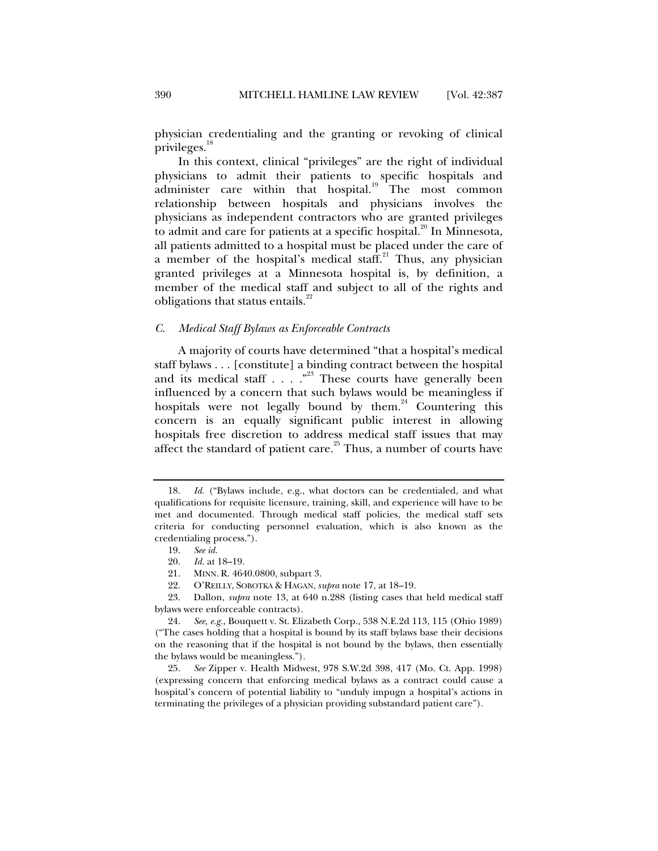physician credentialing and the granting or revoking of clinical privileges.<sup>18</sup>

In this context, clinical "privileges" are the right of individual physicians to admit their patients to specific hospitals and administer care within that hospital.<sup>19</sup> The most common relationship between hospitals and physicians involves the physicians as independent contractors who are granted privileges to admit and care for patients at a specific hospital. $^{20}$  In Minnesota, all patients admitted to a hospital must be placed under the care of a member of the hospital's medical staff.<sup>21</sup> Thus, any physician granted privileges at a Minnesota hospital is, by definition, a member of the medical staff and subject to all of the rights and obligations that status entails.<sup>22</sup>

# *C. Medical Staff Bylaws as Enforceable Contracts*

A majority of courts have determined "that a hospital's medical staff bylaws . . . [constitute] a binding contract between the hospital and its medical staff . . . . "<sup>23</sup> These courts have generally been influenced by a concern that such bylaws would be meaningless if hospitals were not legally bound by them. $24$  Countering this concern is an equally significant public interest in allowing hospitals free discretion to address medical staff issues that may affect the standard of patient care.<sup>25</sup> Thus, a number of courts have

 <sup>18.</sup> *Id.* ("Bylaws include, e.g., what doctors can be credentialed, and what qualifications for requisite licensure, training, skill, and experience will have to be met and documented. Through medical staff policies, the medical staff sets criteria for conducting personnel evaluation, which is also known as the credentialing process.").

 <sup>19.</sup> *See id.*

 <sup>20.</sup> *Id.* at 18–19.

<sup>21.</sup> MINN. R. 4640.0800, subpart 3.<br>22. O'REILLY. SOBOTKA & HAGAN. s

 <sup>22.</sup> O'REILLY, SOBOTKA & HAGAN, *supra* note 17, at 18–19.

 <sup>23.</sup> Dallon, *supra* note 13, at 640 n.288 (listing cases that held medical staff bylaws were enforceable contracts).

 <sup>24.</sup> *See, e.g.*, Bouquett v. St. Elizabeth Corp., 538 N.E.2d 113, 115 (Ohio 1989) ("The cases holding that a hospital is bound by its staff bylaws base their decisions on the reasoning that if the hospital is not bound by the bylaws, then essentially the bylaws would be meaningless.").

 <sup>25.</sup> *See* Zipper v. Health Midwest, 978 S.W.2d 398, 417 (Mo. Ct. App. 1998) (expressing concern that enforcing medical bylaws as a contract could cause a hospital's concern of potential liability to "unduly impugn a hospital's actions in terminating the privileges of a physician providing substandard patient care").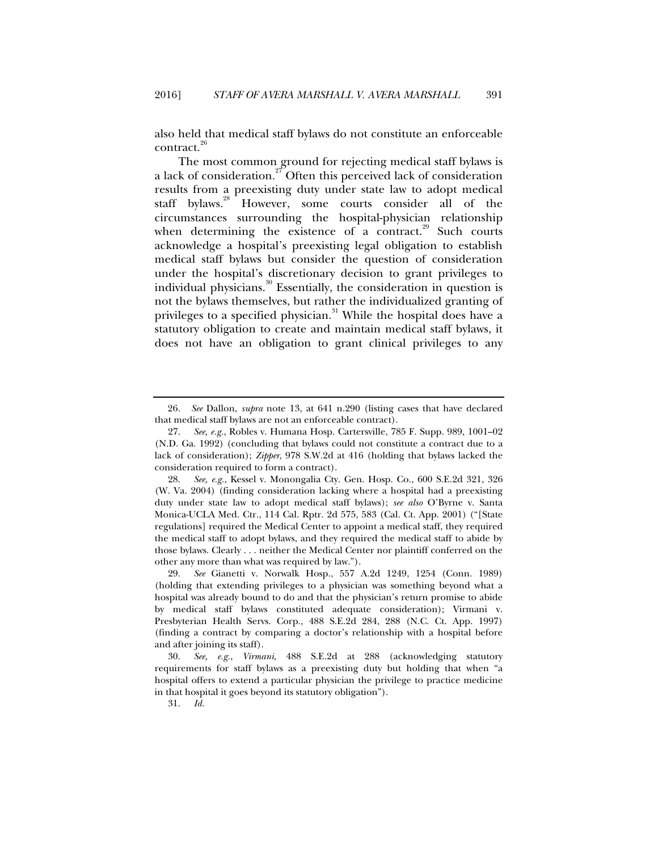also held that medical staff bylaws do not constitute an enforceable contract.<sup>26</sup>

The most common ground for rejecting medical staff bylaws is a lack of consideration.<sup>27</sup> Often this perceived lack of consideration results from a preexisting duty under state law to adopt medical staff bylaws.<sup>28</sup> However, some courts consider all of the circumstances surrounding the hospital-physician relationship when determining the existence of a contract.<sup>29</sup> Such courts acknowledge a hospital's preexisting legal obligation to establish medical staff bylaws but consider the question of consideration under the hospital's discretionary decision to grant privileges to individual physicians.<sup>30</sup> Essentially, the consideration in question is not the bylaws themselves, but rather the individualized granting of privileges to a specified physician.<sup>31</sup> While the hospital does have a statutory obligation to create and maintain medical staff bylaws, it does not have an obligation to grant clinical privileges to any

<sup>26</sup>*. See* Dallon, *supra* note 13, at 641 n.290 (listing cases that have declared that medical staff bylaws are not an enforceable contract).

 <sup>27.</sup> *See, e.g.*, Robles v. Humana Hosp. Cartersville, 785 F. Supp. 989, 1001–02 (N.D. Ga. 1992) (concluding that bylaws could not constitute a contract due to a lack of consideration); *Zipper*, 978 S.W.2d at 416 (holding that bylaws lacked the consideration required to form a contract).

 <sup>28.</sup> *See, e.g.*, Kessel v. Monongalia Cty. Gen. Hosp. Co., 600 S.E.2d 321, 326 (W. Va. 2004) (finding consideration lacking where a hospital had a preexisting duty under state law to adopt medical staff bylaws); *see also* O'Byrne v. Santa Monica-UCLA Med. Ctr., 114 Cal. Rptr. 2d 575, 583 (Cal. Ct. App. 2001) ("[State regulations] required the Medical Center to appoint a medical staff, they required the medical staff to adopt bylaws, and they required the medical staff to abide by those bylaws. Clearly . . . neither the Medical Center nor plaintiff conferred on the other any more than what was required by law.").

 <sup>29.</sup> *See* Gianetti v. Norwalk Hosp., 557 A.2d 1249, 1254 (Conn. 1989) (holding that extending privileges to a physician was something beyond what a hospital was already bound to do and that the physician's return promise to abide by medical staff bylaws constituted adequate consideration); Virmani v. Presbyterian Health Servs. Corp., 488 S.E.2d 284, 288 (N.C. Ct. App. 1997) (finding a contract by comparing a doctor's relationship with a hospital before and after joining its staff).

 <sup>30.</sup> *See, e.g.*, *Virmani*, 488 S.E.2d at 288 (acknowledging statutory requirements for staff bylaws as a preexisting duty but holding that when "a hospital offers to extend a particular physician the privilege to practice medicine in that hospital it goes beyond its statutory obligation").

 <sup>31.</sup> *Id.*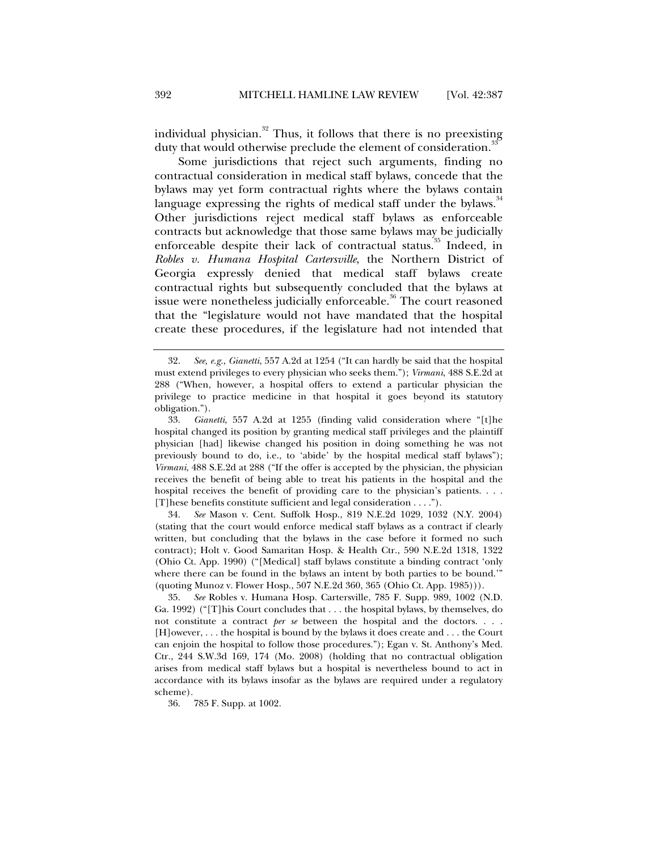individual physician. $32$  Thus, it follows that there is no preexisting duty that would otherwise preclude the element of consideration.<sup>3</sup>

Some jurisdictions that reject such arguments, finding no contractual consideration in medical staff bylaws, concede that the bylaws may yet form contractual rights where the bylaws contain language expressing the rights of medical staff under the bylaws.<sup>34</sup> Other jurisdictions reject medical staff bylaws as enforceable contracts but acknowledge that those same bylaws may be judicially enforceable despite their lack of contractual status.<sup>35</sup> Indeed, in *Robles v. Humana Hospital Cartersville*, the Northern District of Georgia expressly denied that medical staff bylaws create contractual rights but subsequently concluded that the bylaws at issue were nonetheless judicially enforceable.<sup>36</sup> The court reasoned that the "legislature would not have mandated that the hospital create these procedures, if the legislature had not intended that

 34. *See* Mason v. Cent. Suffolk Hosp., 819 N.E.2d 1029, 1032 (N.Y. 2004) (stating that the court would enforce medical staff bylaws as a contract if clearly written, but concluding that the bylaws in the case before it formed no such contract); Holt v. Good Samaritan Hosp. & Health Ctr., 590 N.E.2d 1318, 1322 (Ohio Ct. App. 1990) ("[Medical] staff bylaws constitute a binding contract 'only where there can be found in the bylaws an intent by both parties to be bound.'" (quoting Munoz v. Flower Hosp., 507 N.E.2d 360, 365 (Ohio Ct. App. 1985))).

 <sup>32.</sup> *See, e.g.*, *Gianetti*, 557 A.2d at 1254 ("It can hardly be said that the hospital must extend privileges to every physician who seeks them."); *Virmani*, 488 S.E.2d at 288 ("When, however, a hospital offers to extend a particular physician the privilege to practice medicine in that hospital it goes beyond its statutory obligation.").

 <sup>33.</sup> *Gianetti*, 557 A.2d at 1255 (finding valid consideration where "[t]he hospital changed its position by granting medical staff privileges and the plaintiff physician [had] likewise changed his position in doing something he was not previously bound to do, i.e., to 'abide' by the hospital medical staff bylaws"); *Virmani*, 488 S.E.2d at 288 ("If the offer is accepted by the physician, the physician receives the benefit of being able to treat his patients in the hospital and the hospital receives the benefit of providing care to the physician's patients. . . . [T]hese benefits constitute sufficient and legal consideration . . . .").

 <sup>35.</sup> *See* Robles v. Humana Hosp. Cartersville, 785 F. Supp. 989, 1002 (N.D. Ga. 1992) ("[T]his Court concludes that . . . the hospital bylaws, by themselves, do not constitute a contract *per se* between the hospital and the doctors. . . . [H]owever, . . . the hospital is bound by the bylaws it does create and . . . the Court can enjoin the hospital to follow those procedures."); Egan v. St. Anthony's Med. Ctr., 244 S.W.3d 169, 174 (Mo. 2008) (holding that no contractual obligation arises from medical staff bylaws but a hospital is nevertheless bound to act in accordance with its bylaws insofar as the bylaws are required under a regulatory scheme).

 <sup>36. 785</sup> F. Supp. at 1002.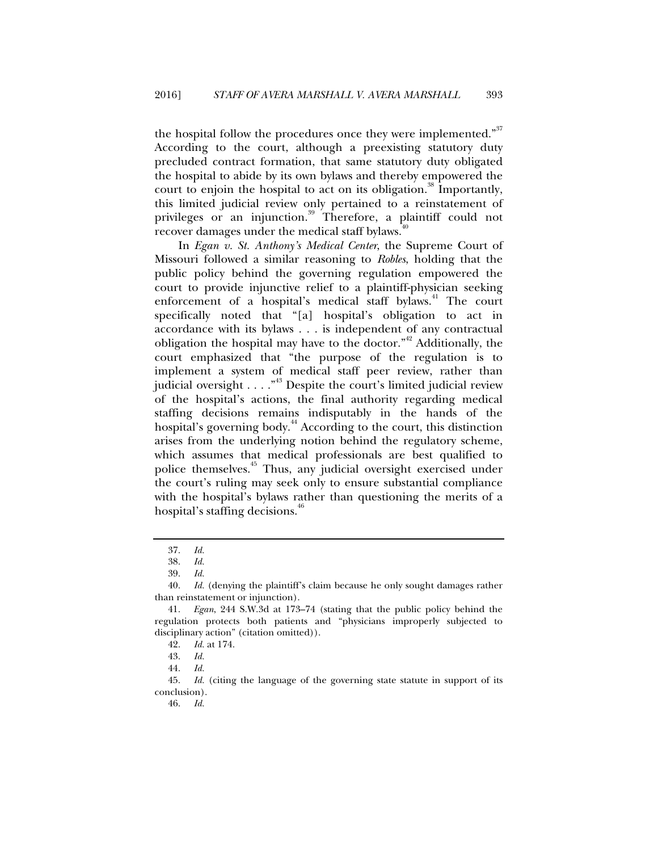the hospital follow the procedures once they were implemented."<sup>37</sup> According to the court, although a preexisting statutory duty precluded contract formation, that same statutory duty obligated the hospital to abide by its own bylaws and thereby empowered the court to enjoin the hospital to act on its obligation.<sup>38</sup> Importantly, this limited judicial review only pertained to a reinstatement of privileges or an injunction.<sup>39</sup> Therefore, a plaintiff could not recover damages under the medical staff bylaws.<sup>4</sup>

In *Egan v. St. Anthony's Medical Center*, the Supreme Court of Missouri followed a similar reasoning to *Robles*, holding that the public policy behind the governing regulation empowered the court to provide injunctive relief to a plaintiff-physician seeking enforcement of a hospital's medical staff bylaws.<sup>41</sup> The court specifically noted that "[a] hospital's obligation to act in accordance with its bylaws . . . is independent of any contractual obligation the hospital may have to the doctor. $1^{42}$  Additionally, the court emphasized that "the purpose of the regulation is to implement a system of medical staff peer review, rather than judicial oversight . . . . "<sup>43</sup> Despite the court's limited judicial review of the hospital's actions, the final authority regarding medical staffing decisions remains indisputably in the hands of the hospital's governing body.<sup>44</sup> According to the court, this distinction arises from the underlying notion behind the regulatory scheme, which assumes that medical professionals are best qualified to police themselves.45 Thus, any judicial oversight exercised under the court's ruling may seek only to ensure substantial compliance with the hospital's bylaws rather than questioning the merits of a hospital's staffing decisions.<sup>40</sup>

 <sup>37.</sup> *Id.*

 <sup>38.</sup> *Id.*

 <sup>39.</sup> *Id.*

 <sup>40.</sup> *Id.* (denying the plaintiff's claim because he only sought damages rather than reinstatement or injunction).

 <sup>41.</sup> *Egan*, 244 S.W.3d at 173–74 (stating that the public policy behind the regulation protects both patients and "physicians improperly subjected to disciplinary action" (citation omitted)).

 <sup>42.</sup> *Id.* at 174.

 <sup>43.</sup> *Id.*

 <sup>44.</sup> *Id.*

 <sup>45.</sup> *Id.* (citing the language of the governing state statute in support of its conclusion).

 <sup>46.</sup> *Id.*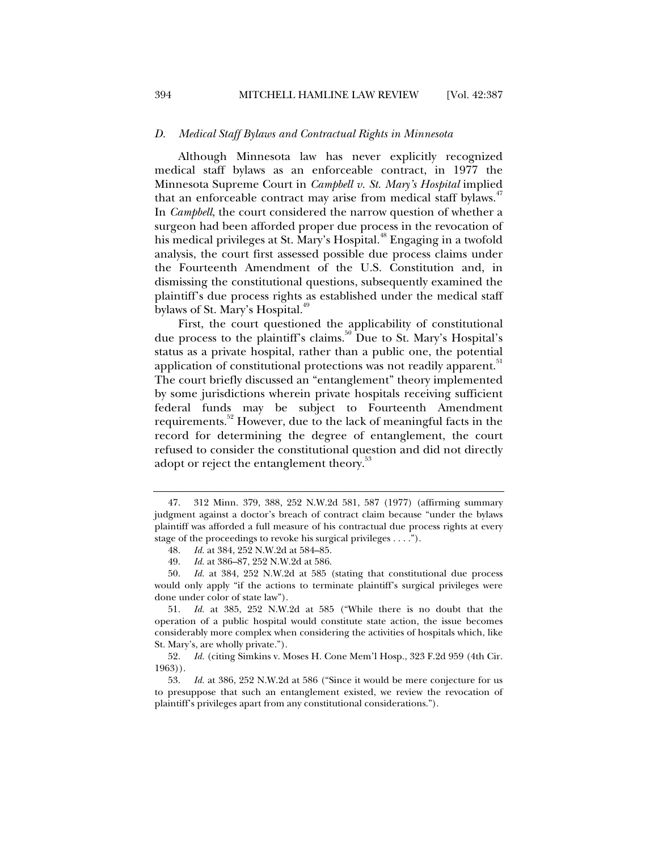# *D. Medical Staff Bylaws and Contractual Rights in Minnesota*

Although Minnesota law has never explicitly recognized medical staff bylaws as an enforceable contract, in 1977 the Minnesota Supreme Court in *Campbell v. St. Mary's Hospital* implied that an enforceable contract may arise from medical staff bylaws.<sup>47</sup> In *Campbell*, the court considered the narrow question of whether a surgeon had been afforded proper due process in the revocation of his medical privileges at St. Mary's Hospital.<sup>48</sup> Engaging in a twofold analysis, the court first assessed possible due process claims under the Fourteenth Amendment of the U.S. Constitution and, in dismissing the constitutional questions, subsequently examined the plaintiff's due process rights as established under the medical staff bylaws of St. Mary's Hospital.<sup>49</sup>

First, the court questioned the applicability of constitutional due process to the plaintiff's claims.<sup>50</sup> Due to St. Mary's Hospital's status as a private hospital, rather than a public one, the potential application of constitutional protections was not readily apparent.<sup>51</sup> The court briefly discussed an "entanglement" theory implemented by some jurisdictions wherein private hospitals receiving sufficient federal funds may be subject to Fourteenth Amendment requirements.<sup>52</sup> However, due to the lack of meaningful facts in the record for determining the degree of entanglement, the court refused to consider the constitutional question and did not directly adopt or reject the entanglement theory.<sup>33</sup>

 <sup>47. 312</sup> Minn. 379, 388, 252 N.W.2d 581, 587 (1977) (affirming summary judgment against a doctor's breach of contract claim because "under the bylaws plaintiff was afforded a full measure of his contractual due process rights at every stage of the proceedings to revoke his surgical privileges . . . .").

 <sup>48.</sup> *Id.* at 384, 252 N.W.2d at 584–85.

 <sup>49.</sup> *Id.* at 386–87, 252 N.W.2d at 586.

 <sup>50.</sup> *Id.* at 384, 252 N.W.2d at 585 (stating that constitutional due process would only apply "if the actions to terminate plaintiff's surgical privileges were done under color of state law").

 <sup>51.</sup> *Id.* at 385, 252 N.W.2d at 585 ("While there is no doubt that the operation of a public hospital would constitute state action, the issue becomes considerably more complex when considering the activities of hospitals which, like St. Mary's, are wholly private.").

 <sup>52.</sup> *Id.* (citing Simkins v. Moses H. Cone Mem'l Hosp., 323 F.2d 959 (4th Cir. 1963)).

 <sup>53.</sup> *Id.* at 386, 252 N.W.2d at 586 ("Since it would be mere conjecture for us to presuppose that such an entanglement existed, we review the revocation of plaintiff's privileges apart from any constitutional considerations.").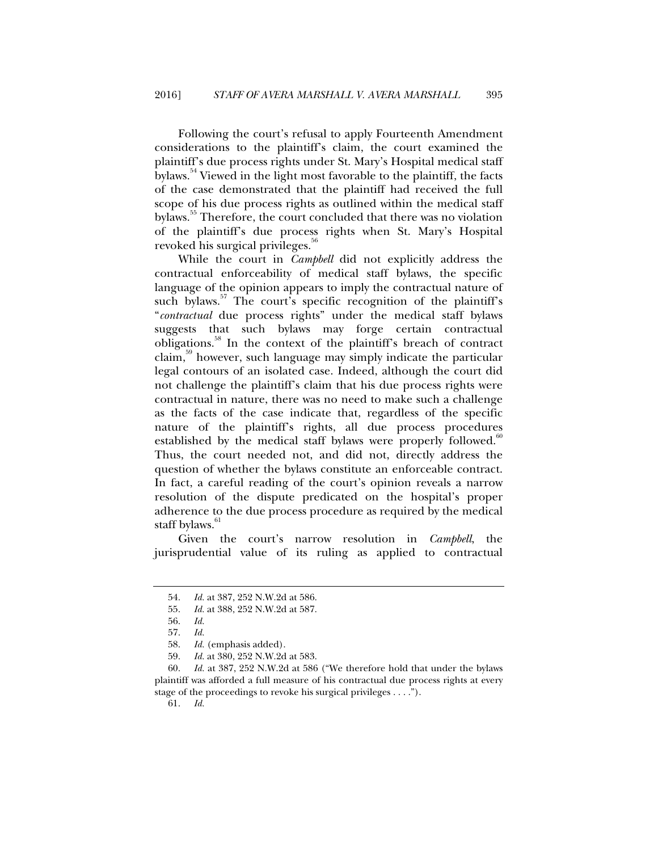Following the court's refusal to apply Fourteenth Amendment considerations to the plaintiff's claim, the court examined the plaintiff's due process rights under St. Mary's Hospital medical staff bylaws.<sup>54</sup> Viewed in the light most favorable to the plaintiff, the facts of the case demonstrated that the plaintiff had received the full scope of his due process rights as outlined within the medical staff bylaws.<sup>35</sup> Therefore, the court concluded that there was no violation of the plaintiff's due process rights when St. Mary's Hospital revoked his surgical privileges.<sup>36</sup>

While the court in *Campbell* did not explicitly address the contractual enforceability of medical staff bylaws, the specific language of the opinion appears to imply the contractual nature of such bylaws.<sup>57</sup> The court's specific recognition of the plaintiff's "*contractual* due process rights" under the medical staff bylaws suggests that such bylaws may forge certain contractual obligations.58 In the context of the plaintiff's breach of contract claim,59 however, such language may simply indicate the particular legal contours of an isolated case. Indeed, although the court did not challenge the plaintiff's claim that his due process rights were contractual in nature, there was no need to make such a challenge as the facts of the case indicate that, regardless of the specific nature of the plaintiff's rights, all due process procedures established by the medical staff bylaws were properly followed.<sup>60</sup> Thus, the court needed not, and did not, directly address the question of whether the bylaws constitute an enforceable contract. In fact, a careful reading of the court's opinion reveals a narrow resolution of the dispute predicated on the hospital's proper adherence to the due process procedure as required by the medical staff bylaws.<sup>61</sup>

Given the court's narrow resolution in *Campbell*, the jurisprudential value of its ruling as applied to contractual

61. *Id.* 

 <sup>54.</sup> *Id.* at 387, 252 N.W.2d at 586.

 <sup>55.</sup> *Id.* at 388, 252 N.W.2d at 587.

 <sup>56.</sup> *Id.* 

 <sup>57.</sup> *Id.*

 <sup>58.</sup> *Id.* (emphasis added).

 <sup>59.</sup> *Id.* at 380, 252 N.W.2d at 583.

 <sup>60.</sup> *Id.* at 387, 252 N.W.2d at 586 ("We therefore hold that under the bylaws plaintiff was afforded a full measure of his contractual due process rights at every stage of the proceedings to revoke his surgical privileges . . . .").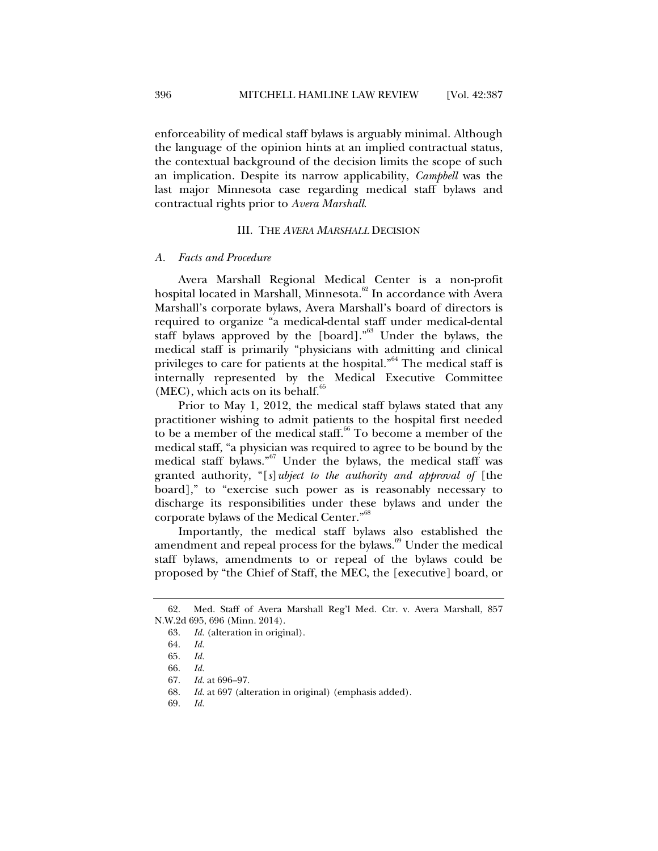enforceability of medical staff bylaws is arguably minimal. Although the language of the opinion hints at an implied contractual status, the contextual background of the decision limits the scope of such an implication. Despite its narrow applicability, *Campbell* was the last major Minnesota case regarding medical staff bylaws and contractual rights prior to *Avera Marshall*.

# III. THE *AVERA MARSHALL* DECISION

#### *A. Facts and Procedure*

Avera Marshall Regional Medical Center is a non-profit hospital located in Marshall, Minnesota.<sup>62</sup> In accordance with Avera Marshall's corporate bylaws, Avera Marshall's board of directors is required to organize "a medical-dental staff under medical-dental staff bylaws approved by the [board]."63 Under the bylaws, the medical staff is primarily "physicians with admitting and clinical privileges to care for patients at the hospital."<sup>64</sup> The medical staff is internally represented by the Medical Executive Committee  $(MEC)$ , which acts on its behalf.<sup>65</sup>

Prior to May 1, 2012, the medical staff bylaws stated that any practitioner wishing to admit patients to the hospital first needed to be a member of the medical staff.<sup>66</sup> To become a member of the medical staff, "a physician was required to agree to be bound by the medical staff bylaws."67 Under the bylaws, the medical staff was granted authority, "[*s*]*ubject to the authority and approval of* [the board]," to "exercise such power as is reasonably necessary to discharge its responsibilities under these bylaws and under the corporate bylaws of the Medical Center."<sup>68</sup>

Importantly, the medical staff bylaws also established the amendment and repeal process for the bylaws. $69$  Under the medical staff bylaws, amendments to or repeal of the bylaws could be proposed by "the Chief of Staff, the MEC, the [executive] board, or

 <sup>62.</sup> Med. Staff of Avera Marshall Reg'l Med. Ctr. v. Avera Marshall, 857 N.W.2d 695, 696 (Minn. 2014).

 <sup>63.</sup> *Id.* (alteration in original).

 <sup>64.</sup> *Id.*

 <sup>65.</sup> *Id.*

 <sup>66.</sup> *Id.*

 <sup>67.</sup> *Id.* at 696–97.

 <sup>68.</sup> *Id.* at 697 (alteration in original) (emphasis added).

 <sup>69.</sup> *Id.*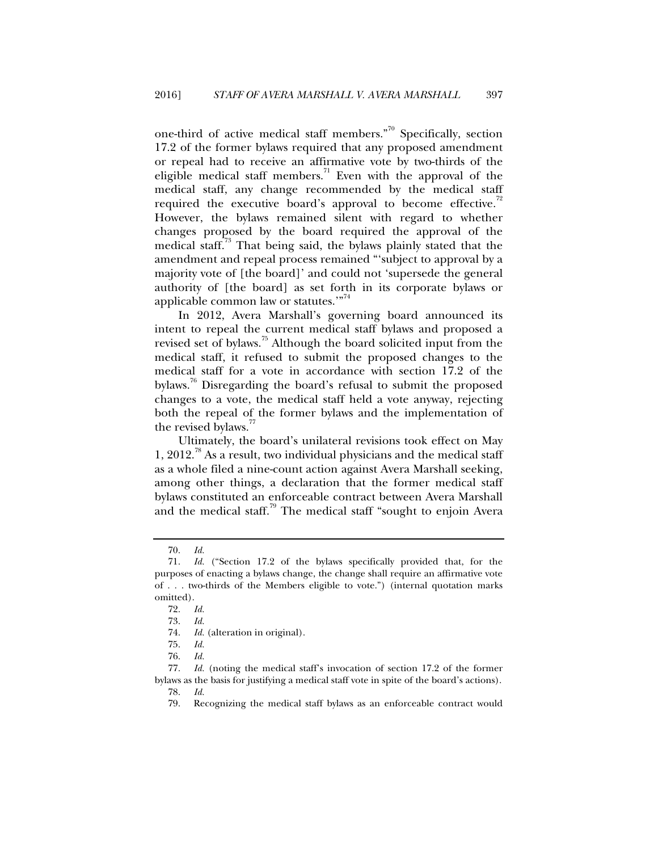one-third of active medical staff members."70 Specifically, section 17.2 of the former bylaws required that any proposed amendment or repeal had to receive an affirmative vote by two-thirds of the eligible medical staff members.<sup>71</sup> Even with the approval of the medical staff, any change recommended by the medical staff required the executive board's approval to become effective.<sup>72</sup> However, the bylaws remained silent with regard to whether changes proposed by the board required the approval of the medical staff.<sup>73</sup> That being said, the bylaws plainly stated that the amendment and repeal process remained "'subject to approval by a majority vote of [the board]' and could not 'supersede the general authority of [the board] as set forth in its corporate bylaws or applicable common law or statutes."<sup>74</sup>

In 2012, Avera Marshall's governing board announced its intent to repeal the current medical staff bylaws and proposed a revised set of bylaws.<sup>75</sup> Although the board solicited input from the medical staff, it refused to submit the proposed changes to the medical staff for a vote in accordance with section 17.2 of the bylaws.76 Disregarding the board's refusal to submit the proposed changes to a vote, the medical staff held a vote anyway, rejecting both the repeal of the former bylaws and the implementation of the revised bylaws."

Ultimately, the board's unilateral revisions took effect on May 1, 2012.<sup>78</sup> As a result, two individual physicians and the medical staff as a whole filed a nine-count action against Avera Marshall seeking, among other things, a declaration that the former medical staff bylaws constituted an enforceable contract between Avera Marshall and the medical staff.<sup>79</sup> The medical staff "sought to enjoin Avera"

 77. *Id.* (noting the medical staff's invocation of section 17.2 of the former bylaws as the basis for justifying a medical staff vote in spite of the board's actions).

 <sup>70.</sup> *Id.*

 <sup>71.</sup> *Id.* ("Section 17.2 of the bylaws specifically provided that, for the purposes of enacting a bylaws change, the change shall require an affirmative vote of . . . two-thirds of the Members eligible to vote.") (internal quotation marks omitted).

 <sup>72.</sup> *Id.*

 <sup>73.</sup> *Id.* 

 <sup>74.</sup> *Id.* (alteration in original).

 <sup>75.</sup> *Id.*

 <sup>76.</sup> *Id.*

 <sup>78.</sup> *Id.*

 <sup>79.</sup> Recognizing the medical staff bylaws as an enforceable contract would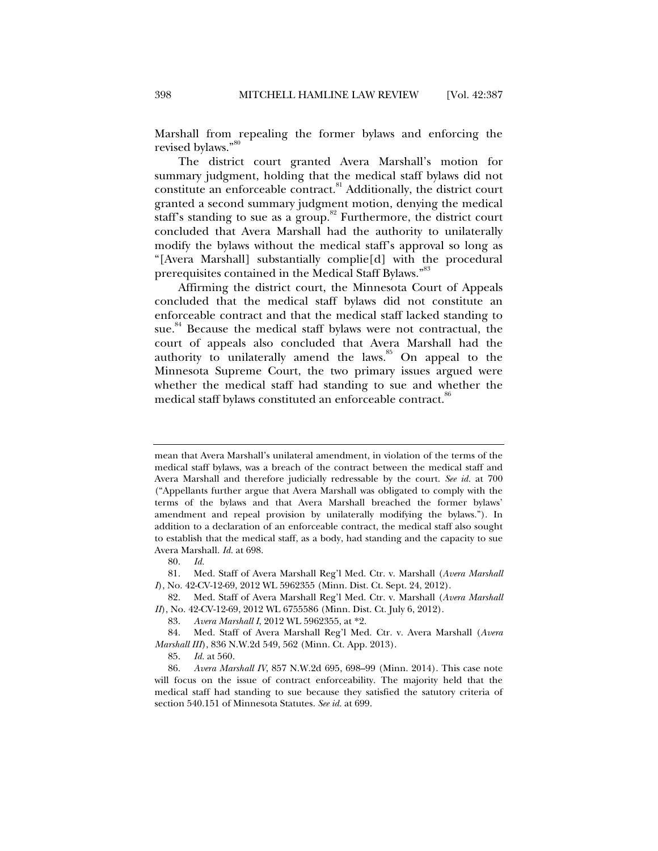Marshall from repealing the former bylaws and enforcing the revised bylaws."

The district court granted Avera Marshall's motion for summary judgment, holding that the medical staff bylaws did not constitute an enforceable contract.<sup>81</sup> Additionally, the district court granted a second summary judgment motion, denying the medical staff's standing to sue as a group.<sup>82</sup> Furthermore, the district court concluded that Avera Marshall had the authority to unilaterally modify the bylaws without the medical staff's approval so long as "[Avera Marshall] substantially complie[d] with the procedural prerequisites contained in the Medical Staff Bylaws."<sup>83</sup>

Affirming the district court, the Minnesota Court of Appeals concluded that the medical staff bylaws did not constitute an enforceable contract and that the medical staff lacked standing to sue.<sup>84</sup> Because the medical staff bylaws were not contractual, the court of appeals also concluded that Avera Marshall had the authority to unilaterally amend the laws. $85$  On appeal to the Minnesota Supreme Court, the two primary issues argued were whether the medical staff had standing to sue and whether the medical staff bylaws constituted an enforceable contract.<sup>86</sup>

mean that Avera Marshall's unilateral amendment, in violation of the terms of the medical staff bylaws, was a breach of the contract between the medical staff and Avera Marshall and therefore judicially redressable by the court. *See id.* at 700 ("Appellants further argue that Avera Marshall was obligated to comply with the terms of the bylaws and that Avera Marshall breached the former bylaws' amendment and repeal provision by unilaterally modifying the bylaws."). In addition to a declaration of an enforceable contract, the medical staff also sought to establish that the medical staff, as a body, had standing and the capacity to sue Avera Marshall. *Id.* at 698.

 <sup>80.</sup> *Id.*

 <sup>81.</sup> Med. Staff of Avera Marshall Reg'l Med. Ctr. v. Marshall (*Avera Marshall I*), No. 42-CV-12-69, 2012 WL 5962355 (Minn. Dist. Ct. Sept. 24, 2012).

 <sup>82.</sup> Med. Staff of Avera Marshall Reg'l Med. Ctr. v. Marshall (*Avera Marshall II*), No. 42-CV-12-69, 2012 WL 6755586 (Minn. Dist. Ct. July 6, 2012).

 <sup>83.</sup> *Avera Marshall I*, 2012 WL 5962355, at \*2.

 <sup>84.</sup> Med. Staff of Avera Marshall Reg'l Med. Ctr. v. Avera Marshall (*Avera Marshall III*), 836 N.W.2d 549, 562 (Minn. Ct. App. 2013).

 <sup>85.</sup> *Id.* at 560.

 <sup>86.</sup> *Avera Marshall IV*, 857 N.W.2d 695, 698–99 (Minn. 2014). This case note will focus on the issue of contract enforceability. The majority held that the medical staff had standing to sue because they satisfied the satutory criteria of section 540.151 of Minnesota Statutes. *See id.* at 699.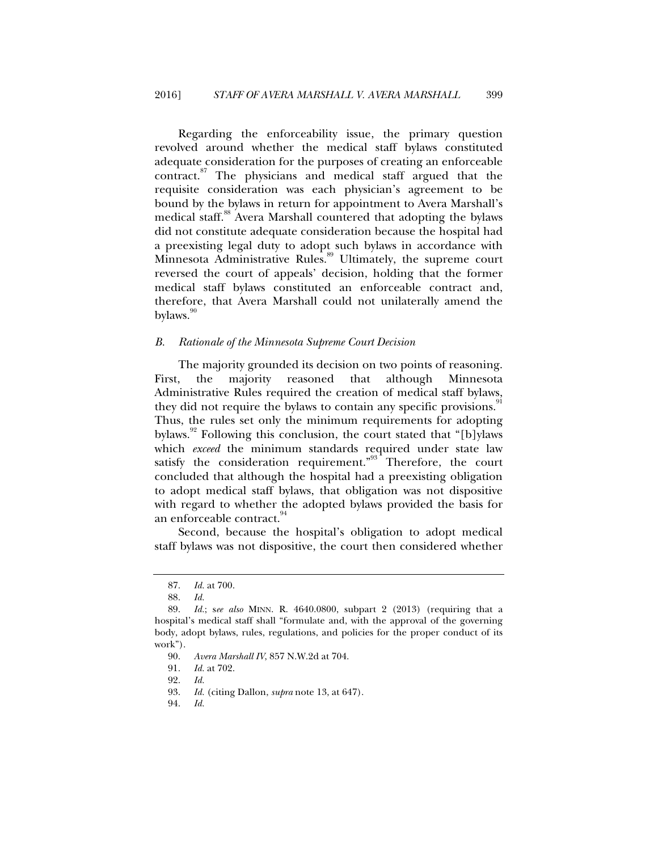Regarding the enforceability issue, the primary question revolved around whether the medical staff bylaws constituted adequate consideration for the purposes of creating an enforceable contract.87 The physicians and medical staff argued that the requisite consideration was each physician's agreement to be bound by the bylaws in return for appointment to Avera Marshall's medical staff.<sup>88</sup> Avera Marshall countered that adopting the bylaws did not constitute adequate consideration because the hospital had a preexisting legal duty to adopt such bylaws in accordance with Minnesota Administrative Rules.<sup>89</sup> Ultimately, the supreme court reversed the court of appeals' decision, holding that the former medical staff bylaws constituted an enforceable contract and, therefore, that Avera Marshall could not unilaterally amend the bylaws. $\frac{90}{20}$ 

# *B. Rationale of the Minnesota Supreme Court Decision*

The majority grounded its decision on two points of reasoning. First, the majority reasoned that although Minnesota Administrative Rules required the creation of medical staff bylaws, they did not require the bylaws to contain any specific provisions.<sup>5</sup> Thus, the rules set only the minimum requirements for adopting bylaws.<sup>92</sup> Following this conclusion, the court stated that "[b]ylaws which *exceed* the minimum standards required under state law satisfy the consideration requirement.<sup>"93</sup> Therefore, the court concluded that although the hospital had a preexisting obligation to adopt medical staff bylaws, that obligation was not dispositive with regard to whether the adopted bylaws provided the basis for an enforceable contract.<sup>94</sup>

Second, because the hospital's obligation to adopt medical staff bylaws was not dispositive, the court then considered whether

 <sup>87.</sup> *Id.* at 700.

 <sup>88.</sup> *Id.*

 <sup>89.</sup> *Id.*; s*ee also* MINN. R. 4640.0800, subpart 2 (2013) (requiring that a hospital's medical staff shall "formulate and, with the approval of the governing body, adopt bylaws, rules, regulations, and policies for the proper conduct of its work").

 <sup>90.</sup> *Avera Marshall IV*, 857 N.W.2d at 704.

 <sup>91.</sup> *Id.* at 702.

 <sup>92.</sup> *Id.*

 <sup>93.</sup> *Id.* (citing Dallon, *supra* note 13, at 647).

 <sup>94.</sup> *Id.*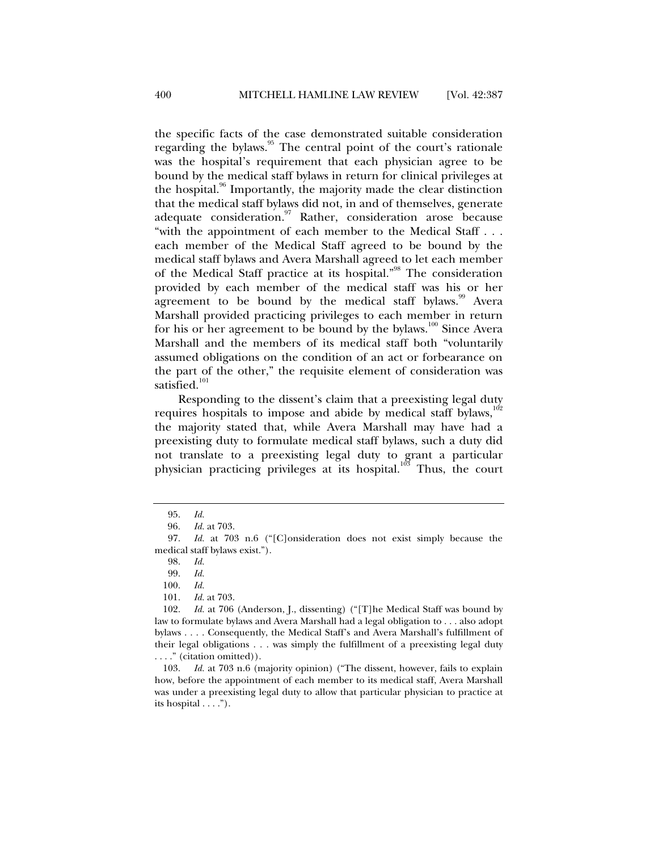the specific facts of the case demonstrated suitable consideration regarding the bylaws.<sup>95</sup> The central point of the court's rationale was the hospital's requirement that each physician agree to be bound by the medical staff bylaws in return for clinical privileges at the hospital.<sup>96</sup> Importantly, the majority made the clear distinction that the medical staff bylaws did not, in and of themselves, generate adequate consideration.<sup>97</sup> Rather, consideration arose because "with the appointment of each member to the Medical Staff . . . each member of the Medical Staff agreed to be bound by the medical staff bylaws and Avera Marshall agreed to let each member of the Medical Staff practice at its hospital."<sup>98</sup> The consideration provided by each member of the medical staff was his or her agreement to be bound by the medical staff bylaws.<sup>99</sup> Avera Marshall provided practicing privileges to each member in return for his or her agreement to be bound by the bylaws.<sup>100</sup> Since Avera Marshall and the members of its medical staff both "voluntarily assumed obligations on the condition of an act or forbearance on the part of the other," the requisite element of consideration was satisfied.<sup>101</sup>

Responding to the dissent's claim that a preexisting legal duty requires hospitals to impose and abide by medical staff bylaws, $102$ the majority stated that, while Avera Marshall may have had a preexisting duty to formulate medical staff bylaws, such a duty did not translate to a preexisting legal duty to grant a particular physician practicing privileges at its hospital.<sup>103</sup> Thus, the court

 103. *Id.* at 703 n.6 (majority opinion) ("The dissent, however, fails to explain how, before the appointment of each member to its medical staff, Avera Marshall was under a preexisting legal duty to allow that particular physician to practice at its hospital . . . .").

 <sup>95.</sup> *Id.*

<sup>96</sup>*. Id.* at 703.

 <sup>97.</sup> *Id.* at 703 n.6 ("[C]onsideration does not exist simply because the medical staff bylaws exist.").

 <sup>98.</sup> *Id.* 

 <sup>99.</sup> *Id.*

 <sup>100.</sup> *Id.*

 <sup>101.</sup> *Id.* at 703.

 <sup>102.</sup> *Id.* at 706 (Anderson, J., dissenting) ("[T]he Medical Staff was bound by law to formulate bylaws and Avera Marshall had a legal obligation to . . . also adopt bylaws . . . . Consequently, the Medical Staff's and Avera Marshall's fulfillment of their legal obligations . . . was simply the fulfillment of a preexisting legal duty . . . ." (citation omitted)).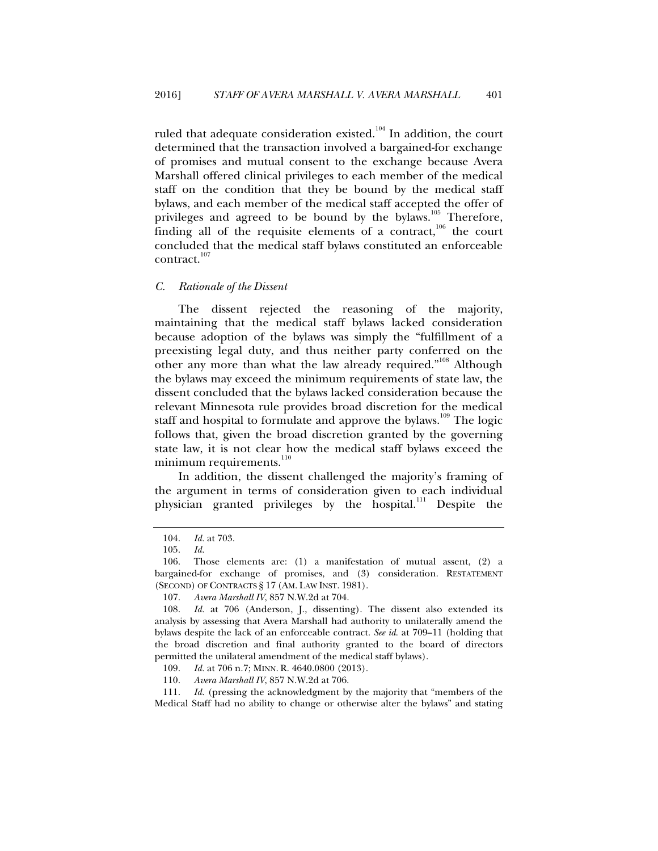ruled that adequate consideration existed.<sup>104</sup> In addition, the court determined that the transaction involved a bargained-for exchange of promises and mutual consent to the exchange because Avera Marshall offered clinical privileges to each member of the medical staff on the condition that they be bound by the medical staff bylaws, and each member of the medical staff accepted the offer of privileges and agreed to be bound by the bylaws. $105$  Therefore, finding all of the requisite elements of a contract, $106$  the court concluded that the medical staff bylaws constituted an enforceable contract.<sup>107</sup>

# *C. Rationale of the Dissent*

The dissent rejected the reasoning of the majority, maintaining that the medical staff bylaws lacked consideration because adoption of the bylaws was simply the "fulfillment of a preexisting legal duty, and thus neither party conferred on the other any more than what the law already required."<sup>108</sup> Although the bylaws may exceed the minimum requirements of state law, the dissent concluded that the bylaws lacked consideration because the relevant Minnesota rule provides broad discretion for the medical staff and hospital to formulate and approve the bylaws.<sup>109</sup> The logic follows that, given the broad discretion granted by the governing state law, it is not clear how the medical staff bylaws exceed the minimum requirements.<sup>110</sup>

In addition, the dissent challenged the majority's framing of the argument in terms of consideration given to each individual physician granted privileges by the hospital.<sup>111</sup> Despite the

 111. *Id.* (pressing the acknowledgment by the majority that "members of the Medical Staff had no ability to change or otherwise alter the bylaws" and stating

 <sup>104.</sup> *Id.* at 703.

 <sup>105.</sup> *Id.*

 <sup>106.</sup> Those elements are: (1) a manifestation of mutual assent, (2) a bargained-for exchange of promises, and (3) consideration. RESTATEMENT (SECOND) OF CONTRACTS § 17 (AM. LAW INST. 1981).

 <sup>107.</sup> *Avera Marshall IV*, 857 N.W.2d at 704.

 <sup>108.</sup> *Id.* at 706 (Anderson, J., dissenting). The dissent also extended its analysis by assessing that Avera Marshall had authority to unilaterally amend the bylaws despite the lack of an enforceable contract. *See id*. at 709–11 (holding that the broad discretion and final authority granted to the board of directors permitted the unilateral amendment of the medical staff bylaws).

 <sup>109.</sup> *Id.* at 706 n.7; MINN. R. 4640.0800 (2013).

 <sup>110.</sup> *Avera Marshall IV*, 857 N.W.2d at 706.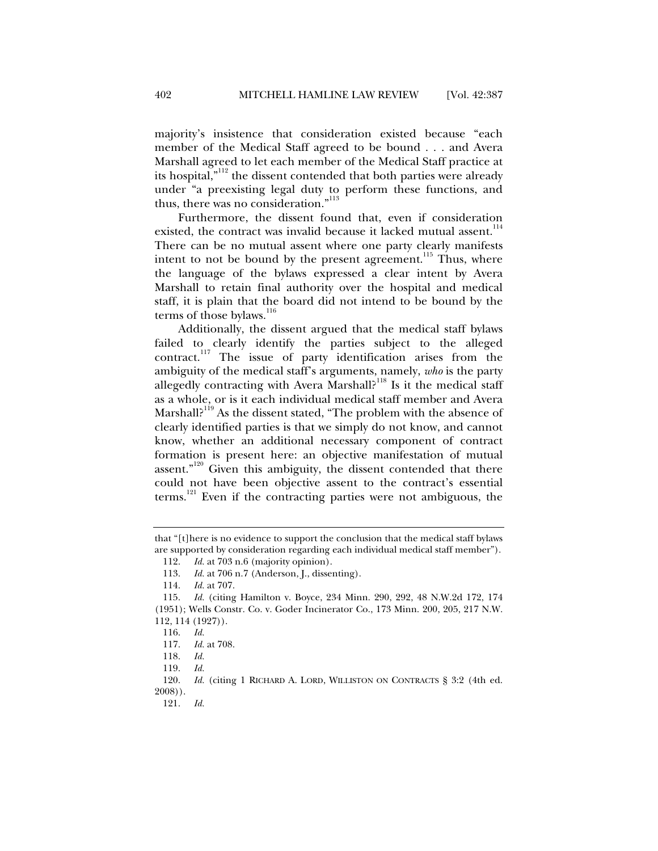majority's insistence that consideration existed because "each member of the Medical Staff agreed to be bound . . . and Avera Marshall agreed to let each member of the Medical Staff practice at its hospital, $n<sup>112</sup>$  the dissent contended that both parties were already under "a preexisting legal duty to perform these functions, and thus, there was no consideration."<sup>113</sup>

Furthermore, the dissent found that, even if consideration existed, the contract was invalid because it lacked mutual assent.<sup>114</sup> There can be no mutual assent where one party clearly manifests intent to not be bound by the present agreement.<sup>115</sup> Thus, where the language of the bylaws expressed a clear intent by Avera Marshall to retain final authority over the hospital and medical staff, it is plain that the board did not intend to be bound by the terms of those bylaws. $116$ 

Additionally, the dissent argued that the medical staff bylaws failed to clearly identify the parties subject to the alleged  $control$ <sup>117</sup> The issue of party identification arises from the ambiguity of the medical staff's arguments, namely, *who* is the party allegedly contracting with Avera Marshall?<sup>118</sup> Is it the medical staff as a whole, or is it each individual medical staff member and Avera Marshall?<sup>119</sup> As the dissent stated, "The problem with the absence of clearly identified parties is that we simply do not know, and cannot know, whether an additional necessary component of contract formation is present here: an objective manifestation of mutual assent. $n^{120}$  Given this ambiguity, the dissent contended that there could not have been objective assent to the contract's essential terms.121 Even if the contracting parties were not ambiguous, the

that "[t]here is no evidence to support the conclusion that the medical staff bylaws are supported by consideration regarding each individual medical staff member").

 <sup>112.</sup> *Id.* at 703 n.6 (majority opinion).

<sup>113.</sup> *Id.* at 706 n.7 (Anderson, J., dissenting).<br>114. *Id.* at 707.

 <sup>114.</sup> *Id.* at 707.

 <sup>115.</sup> *Id.* (citing Hamilton v. Boyce, 234 Minn. 290, 292, 48 N.W.2d 172, 174 (1951); Wells Constr. Co. v. Goder Incinerator Co., 173 Minn. 200, 205, 217 N.W. 112, 114 (1927)).

 <sup>116.</sup> *Id.*

 <sup>117.</sup> *Id.* at 708.

 <sup>118.</sup> *Id.*

 <sup>119.</sup> *Id.*

 <sup>120.</sup> *Id.* (citing 1 RICHARD A. LORD, WILLISTON ON CONTRACTS § 3:2 (4th ed. 2008)).

 <sup>121.</sup> *Id.*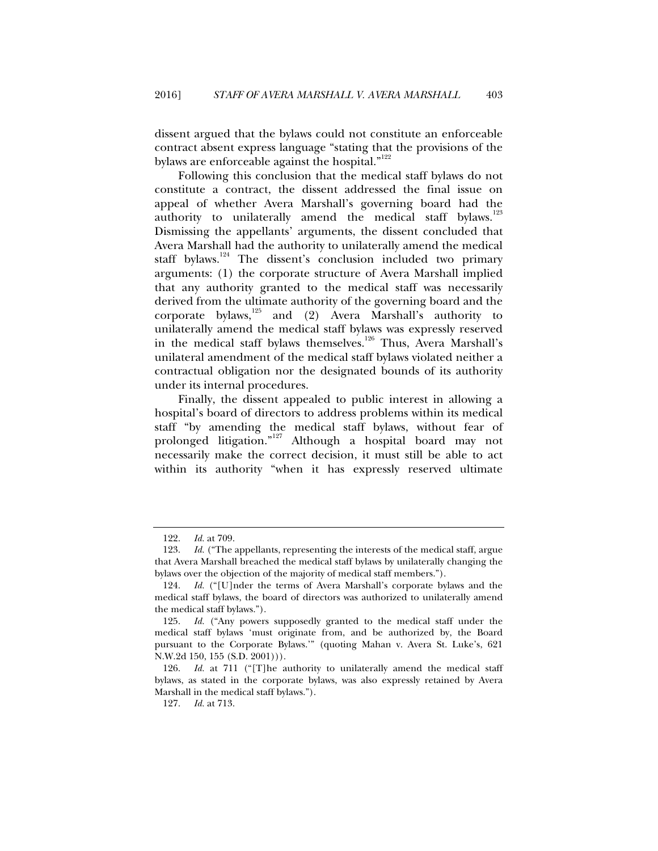dissent argued that the bylaws could not constitute an enforceable contract absent express language "stating that the provisions of the bylaws are enforceable against the hospital."<sup>122</sup>

Following this conclusion that the medical staff bylaws do not constitute a contract, the dissent addressed the final issue on appeal of whether Avera Marshall's governing board had the authority to unilaterally amend the medical staff bylaws.<sup>123</sup> Dismissing the appellants' arguments, the dissent concluded that Avera Marshall had the authority to unilaterally amend the medical staff bylaws.<sup>124</sup> The dissent's conclusion included two primary arguments: (1) the corporate structure of Avera Marshall implied that any authority granted to the medical staff was necessarily derived from the ultimate authority of the governing board and the corporate bylaws, $125$  and (2) Avera Marshall's authority to unilaterally amend the medical staff bylaws was expressly reserved in the medical staff bylaws themselves.<sup>126</sup> Thus, Avera Marshall's unilateral amendment of the medical staff bylaws violated neither a contractual obligation nor the designated bounds of its authority under its internal procedures.

Finally, the dissent appealed to public interest in allowing a hospital's board of directors to address problems within its medical staff "by amending the medical staff bylaws, without fear of prolonged litigation."127 Although a hospital board may not necessarily make the correct decision, it must still be able to act within its authority "when it has expressly reserved ultimate

 <sup>122.</sup> *Id.* at 709.

 <sup>123.</sup> *Id.* ("The appellants, representing the interests of the medical staff, argue that Avera Marshall breached the medical staff bylaws by unilaterally changing the bylaws over the objection of the majority of medical staff members.").

 <sup>124.</sup> *Id.* ("[U]nder the terms of Avera Marshall's corporate bylaws and the medical staff bylaws, the board of directors was authorized to unilaterally amend the medical staff bylaws.").

 <sup>125.</sup> *Id.* ("Any powers supposedly granted to the medical staff under the medical staff bylaws 'must originate from, and be authorized by, the Board pursuant to the Corporate Bylaws.'" (quoting Mahan v. Avera St. Luke's, 621 N.W.2d 150, 155 (S.D. 2001))).

 <sup>126.</sup> *Id.* at 711 ("[T]he authority to unilaterally amend the medical staff bylaws, as stated in the corporate bylaws, was also expressly retained by Avera Marshall in the medical staff bylaws.").

 <sup>127.</sup> *Id.* at 713.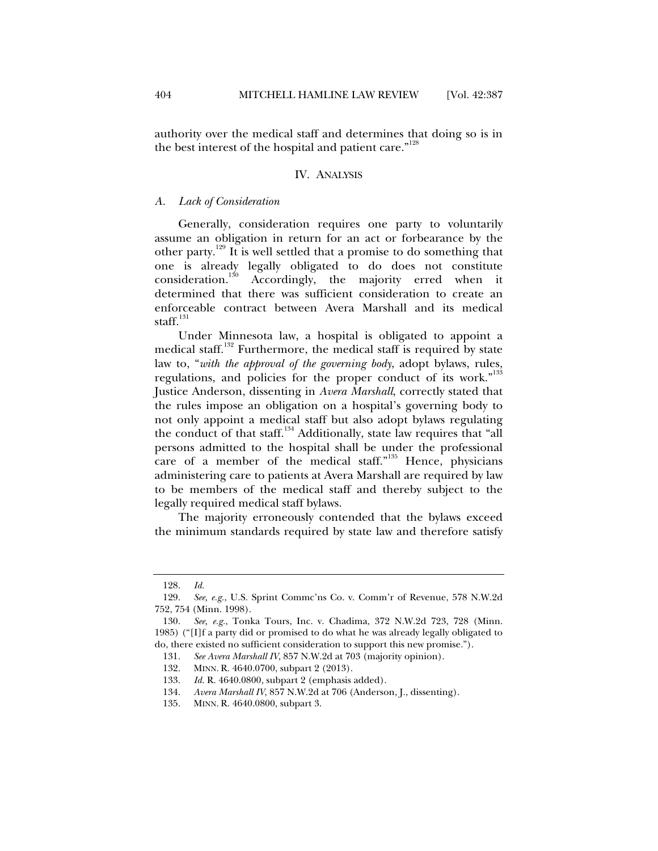authority over the medical staff and determines that doing so is in

#### IV. ANALYSIS

the best interest of the hospital and patient care."<sup>128</sup>

# *A. Lack of Consideration*

Generally, consideration requires one party to voluntarily assume an obligation in return for an act or forbearance by the other party.129 It is well settled that a promise to do something that one is already legally obligated to do does not constitute consideration.130 Accordingly, the majority erred when it determined that there was sufficient consideration to create an enforceable contract between Avera Marshall and its medical staff. $131$ 

Under Minnesota law, a hospital is obligated to appoint a medical staff.<sup>132</sup> Furthermore, the medical staff is required by state law to, "*with the approval of the governing body*, adopt bylaws, rules, regulations, and policies for the proper conduct of its work."<sup>133</sup> Justice Anderson, dissenting in *Avera Marshall*, correctly stated that the rules impose an obligation on a hospital's governing body to not only appoint a medical staff but also adopt bylaws regulating the conduct of that staff.<sup>134</sup> Additionally, state law requires that "all persons admitted to the hospital shall be under the professional care of a member of the medical staff."<sup>135</sup> Hence, physicians administering care to patients at Avera Marshall are required by law to be members of the medical staff and thereby subject to the legally required medical staff bylaws.

The majority erroneously contended that the bylaws exceed the minimum standards required by state law and therefore satisfy

 <sup>128.</sup> *Id.* 

 <sup>129.</sup> *See, e.g.*, U.S. Sprint Commc'ns Co. v. Comm'r of Revenue, 578 N.W.2d 752, 754 (Minn. 1998).

 <sup>130.</sup> *See, e.g.*, Tonka Tours, Inc. v. Chadima, 372 N.W.2d 723, 728 (Minn. 1985) ("[I]f a party did or promised to do what he was already legally obligated to do, there existed no sufficient consideration to support this new promise.").

 <sup>131.</sup> *See Avera Marshall IV*, 857 N.W.2d at 703 (majority opinion).

 <sup>132.</sup> MINN. R. 4640.0700, subpart 2 (2013).

 <sup>133.</sup> *Id.* R. 4640.0800, subpart 2 (emphasis added).

 <sup>134.</sup> *Avera Marshall IV*, 857 N.W.2d at 706 (Anderson, J., dissenting).

 <sup>135.</sup> MINN. R. 4640.0800, subpart 3.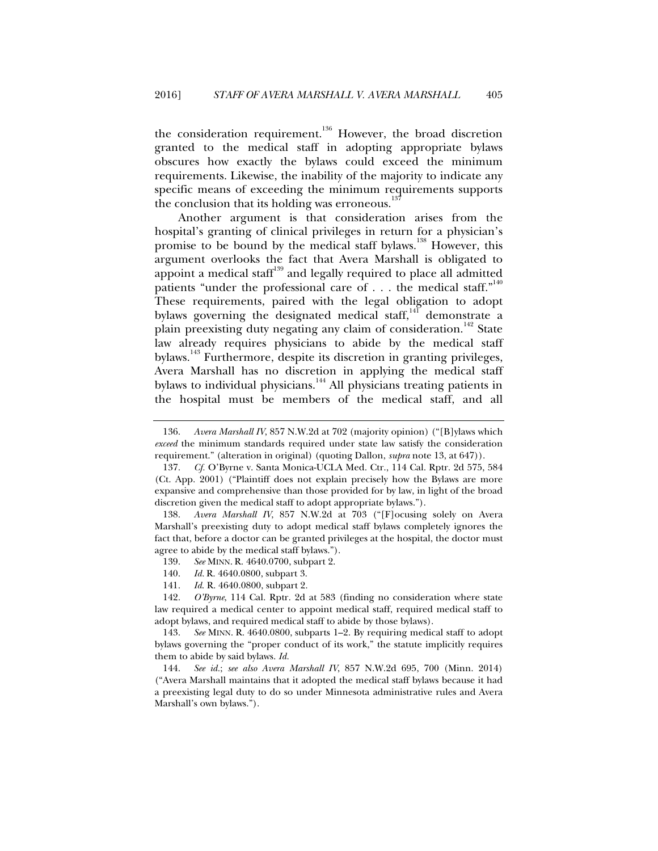the consideration requirement.<sup>136</sup> However, the broad discretion granted to the medical staff in adopting appropriate bylaws obscures how exactly the bylaws could exceed the minimum requirements. Likewise, the inability of the majority to indicate any specific means of exceeding the minimum requirements supports the conclusion that its holding was erroneous.

Another argument is that consideration arises from the hospital's granting of clinical privileges in return for a physician's promise to be bound by the medical staff bylaws.<sup>138</sup> However, this argument overlooks the fact that Avera Marshall is obligated to appoint a medical staff<sup>139</sup> and legally required to place all admitted patients "under the professional care of  $\dots$  the medical staff." These requirements, paired with the legal obligation to adopt bylaws governing the designated medical staff,<sup>141</sup> demonstrate a plain preexisting duty negating any claim of consideration.<sup>142</sup> State law already requires physicians to abide by the medical staff bylaws.143 Furthermore, despite its discretion in granting privileges, Avera Marshall has no discretion in applying the medical staff bylaws to individual physicians.<sup>144</sup> All physicians treating patients in the hospital must be members of the medical staff, and all

- 139. *See* MINN. R. 4640.0700, subpart 2.
- 140. *Id.* R. 4640.0800, subpart 3.
- 141. *Id*. R. 4640.0800, subpart 2.

 <sup>136.</sup> *Avera Marshall IV*, 857 N.W.2d at 702 (majority opinion) ("[B]ylaws which *exceed* the minimum standards required under state law satisfy the consideration requirement." (alteration in original) (quoting Dallon, *supra* note 13, at 647)).

 <sup>137.</sup> *Cf.* O'Byrne v. Santa Monica-UCLA Med. Ctr., 114 Cal. Rptr. 2d 575, 584 (Ct. App. 2001) ("Plaintiff does not explain precisely how the Bylaws are more expansive and comprehensive than those provided for by law, in light of the broad discretion given the medical staff to adopt appropriate bylaws.").

 <sup>138.</sup> *Avera Marshall IV*, 857 N.W.2d at 703 ("[F]ocusing solely on Avera Marshall's preexisting duty to adopt medical staff bylaws completely ignores the fact that, before a doctor can be granted privileges at the hospital, the doctor must agree to abide by the medical staff bylaws.").

 <sup>142.</sup> *O'Byrne*, 114 Cal. Rptr. 2d at 583 (finding no consideration where state law required a medical center to appoint medical staff, required medical staff to adopt bylaws, and required medical staff to abide by those bylaws).

 <sup>143.</sup> *See* MINN. R. 4640.0800, subparts 1–2. By requiring medical staff to adopt bylaws governing the "proper conduct of its work," the statute implicitly requires them to abide by said bylaws. *Id.* 

 <sup>144.</sup> *See id.*; *see also Avera Marshall IV*, 857 N.W.2d 695, 700 (Minn. 2014) ("Avera Marshall maintains that it adopted the medical staff bylaws because it had a preexisting legal duty to do so under Minnesota administrative rules and Avera Marshall's own bylaws.").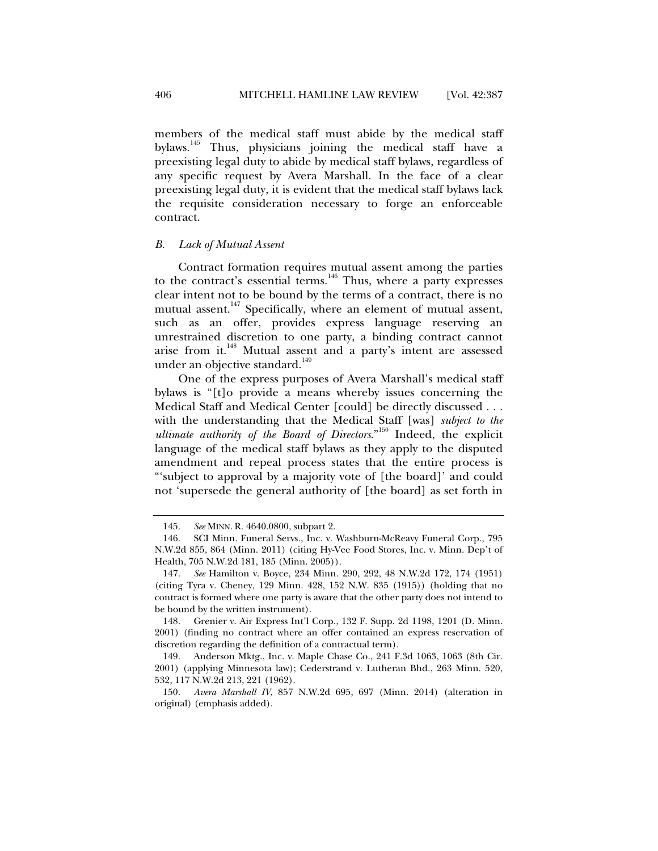members of the medical staff must abide by the medical staff bylaws.145 Thus, physicians joining the medical staff have a preexisting legal duty to abide by medical staff bylaws, regardless of any specific request by Avera Marshall. In the face of a clear preexisting legal duty, it is evident that the medical staff bylaws lack the requisite consideration necessary to forge an enforceable contract.

# *B. Lack of Mutual Assent*

Contract formation requires mutual assent among the parties to the contract's essential terms.<sup>146</sup> Thus, where a party expresses clear intent not to be bound by the terms of a contract, there is no mutual assent.<sup>147</sup> Specifically, where an element of mutual assent, such as an offer, provides express language reserving an unrestrained discretion to one party, a binding contract cannot arise from it.<sup>148</sup> Mutual assent and a party's intent are assessed under an objective standard.<sup>149</sup>

One of the express purposes of Avera Marshall's medical staff bylaws is "[t]o provide a means whereby issues concerning the Medical Staff and Medical Center [could] be directly discussed . . . with the understanding that the Medical Staff [was] *subject to the ultimate authority of the Board of Directors*."150 Indeed, the explicit language of the medical staff bylaws as they apply to the disputed amendment and repeal process states that the entire process is "'subject to approval by a majority vote of [the board]' and could not 'supersede the general authority of [the board] as set forth in

 <sup>145.</sup> *See* MINN. R. 4640.0800, subpart 2.

 <sup>146.</sup> SCI Minn. Funeral Servs., Inc. v. Washburn-McReavy Funeral Corp., 795 N.W.2d 855, 864 (Minn. 2011) (citing Hy-Vee Food Stores, Inc. v. Minn. Dep't of Health, 705 N.W.2d 181, 185 (Minn. 2005)).

 <sup>147.</sup> *See* Hamilton v. Boyce, 234 Minn. 290, 292, 48 N.W.2d 172, 174 (1951) (citing Tyra v. Cheney, 129 Minn. 428, 152 N.W. 835 (1915)) (holding that no contract is formed where one party is aware that the other party does not intend to be bound by the written instrument).

 <sup>148.</sup> Grenier v. Air Express Int'l Corp., 132 F. Supp. 2d 1198, 1201 (D. Minn. 2001) (finding no contract where an offer contained an express reservation of discretion regarding the definition of a contractual term).

 <sup>149.</sup> Anderson Mktg., Inc. v. Maple Chase Co., 241 F.3d 1063, 1063 (8th Cir. 2001) (applying Minnesota law); Cederstrand v. Lutheran Bhd., 263 Minn. 520, 532, 117 N.W.2d 213, 221 (1962).

 <sup>150.</sup> *Avera Marshall IV*, 857 N.W.2d 695, 697 (Minn. 2014) (alteration in original) (emphasis added).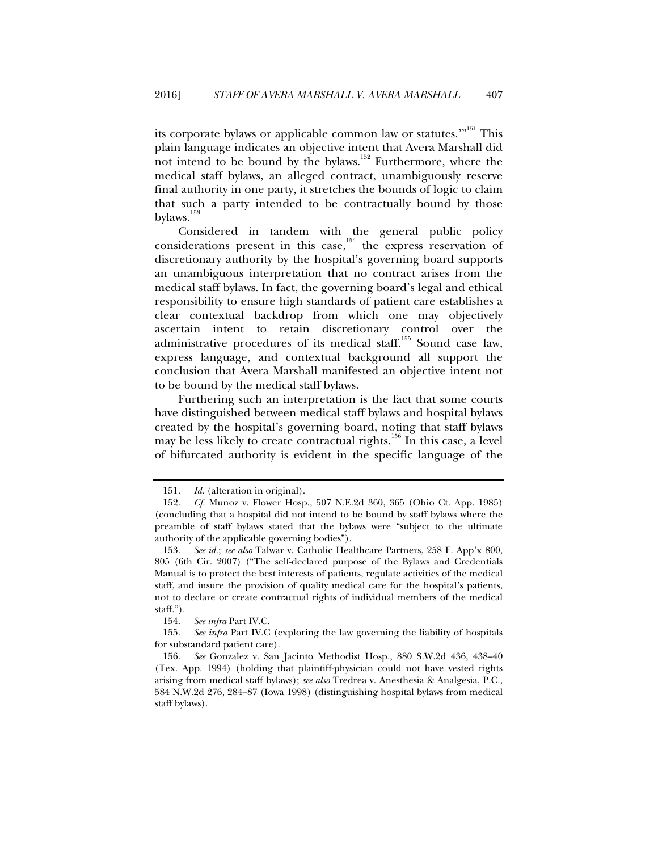its corporate bylaws or applicable common law or statutes.'"<sup>151</sup> This plain language indicates an objective intent that Avera Marshall did not intend to be bound by the bylaws.152 Furthermore, where the medical staff bylaws, an alleged contract, unambiguously reserve final authority in one party, it stretches the bounds of logic to claim that such a party intended to be contractually bound by those bylaws.<sup>153</sup>

Considered in tandem with the general public policy considerations present in this case, $154$  the express reservation of discretionary authority by the hospital's governing board supports an unambiguous interpretation that no contract arises from the medical staff bylaws. In fact, the governing board's legal and ethical responsibility to ensure high standards of patient care establishes a clear contextual backdrop from which one may objectively ascertain intent to retain discretionary control over the administrative procedures of its medical staff.<sup>155</sup> Sound case law, express language, and contextual background all support the conclusion that Avera Marshall manifested an objective intent not to be bound by the medical staff bylaws.

Furthering such an interpretation is the fact that some courts have distinguished between medical staff bylaws and hospital bylaws created by the hospital's governing board, noting that staff bylaws may be less likely to create contractual rights.<sup>156</sup> In this case, a level of bifurcated authority is evident in the specific language of the

154. *See infra* Part IV.C.

 <sup>151.</sup> *Id.* (alteration in original).

 <sup>152.</sup> *Cf.* Munoz v. Flower Hosp., 507 N.E.2d 360, 365 (Ohio Ct. App. 1985) (concluding that a hospital did not intend to be bound by staff bylaws where the preamble of staff bylaws stated that the bylaws were "subject to the ultimate authority of the applicable governing bodies").

 <sup>153.</sup> *See id.*; *see also* Talwar v. Catholic Healthcare Partners, 258 F. App'x 800, 805 (6th Cir. 2007) ("The self-declared purpose of the Bylaws and Credentials Manual is to protect the best interests of patients, regulate activities of the medical staff, and insure the provision of quality medical care for the hospital's patients, not to declare or create contractual rights of individual members of the medical staff.").

 <sup>155.</sup> *See infra* Part IV.C (exploring the law governing the liability of hospitals for substandard patient care).

 <sup>156.</sup> *See* Gonzalez v. San Jacinto Methodist Hosp., 880 S.W.2d 436, 438–40 (Tex. App. 1994) (holding that plaintiff-physician could not have vested rights arising from medical staff bylaws); *see also* Tredrea v. Anesthesia & Analgesia, P.C., 584 N.W.2d 276, 284–87 (Iowa 1998) (distinguishing hospital bylaws from medical staff bylaws).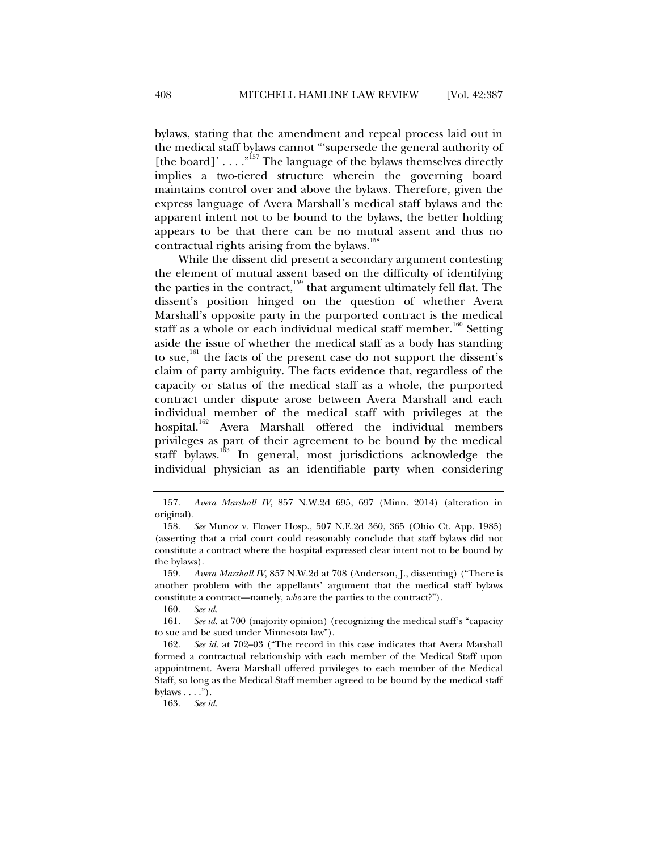bylaws, stating that the amendment and repeal process laid out in the medical staff bylaws cannot "'supersede the general authority of [the board]' . . . .  $n^{157}$  The language of the bylaws themselves directly implies a two-tiered structure wherein the governing board maintains control over and above the bylaws. Therefore, given the express language of Avera Marshall's medical staff bylaws and the apparent intent not to be bound to the bylaws, the better holding appears to be that there can be no mutual assent and thus no contractual rights arising from the bylaws.<sup>158</sup>

While the dissent did present a secondary argument contesting the element of mutual assent based on the difficulty of identifying the parties in the contract, $159$  that argument ultimately fell flat. The dissent's position hinged on the question of whether Avera Marshall's opposite party in the purported contract is the medical staff as a whole or each individual medical staff member.<sup>160</sup> Setting aside the issue of whether the medical staff as a body has standing to sue,<sup>161</sup> the facts of the present case do not support the dissent's claim of party ambiguity. The facts evidence that, regardless of the capacity or status of the medical staff as a whole, the purported contract under dispute arose between Avera Marshall and each individual member of the medical staff with privileges at the hospital.<sup>162</sup> Avera Marshall offered the individual members privileges as part of their agreement to be bound by the medical staff bylaws.<sup>163</sup> In general, most jurisdictions acknowledge the individual physician as an identifiable party when considering

 <sup>157.</sup> *Avera Marshall IV*, 857 N.W.2d 695, 697 (Minn. 2014) (alteration in original).

 <sup>158.</sup> *See* Munoz v. Flower Hosp., 507 N.E.2d 360, 365 (Ohio Ct. App. 1985) (asserting that a trial court could reasonably conclude that staff bylaws did not constitute a contract where the hospital expressed clear intent not to be bound by the bylaws).

 <sup>159.</sup> *Avera Marshall IV*, 857 N.W.2d at 708 (Anderson, J., dissenting) ("There is another problem with the appellants' argument that the medical staff bylaws constitute a contract—namely, *who* are the parties to the contract?").

 <sup>160.</sup> *See id.*

 <sup>161.</sup> *See id.* at 700 (majority opinion) (recognizing the medical staff's "capacity to sue and be sued under Minnesota law").

 <sup>162.</sup> *See id.* at 702–03 ("The record in this case indicates that Avera Marshall formed a contractual relationship with each member of the Medical Staff upon appointment. Avera Marshall offered privileges to each member of the Medical Staff, so long as the Medical Staff member agreed to be bound by the medical staff bylaws  $\dots$ .").

 <sup>163.</sup> *See id.*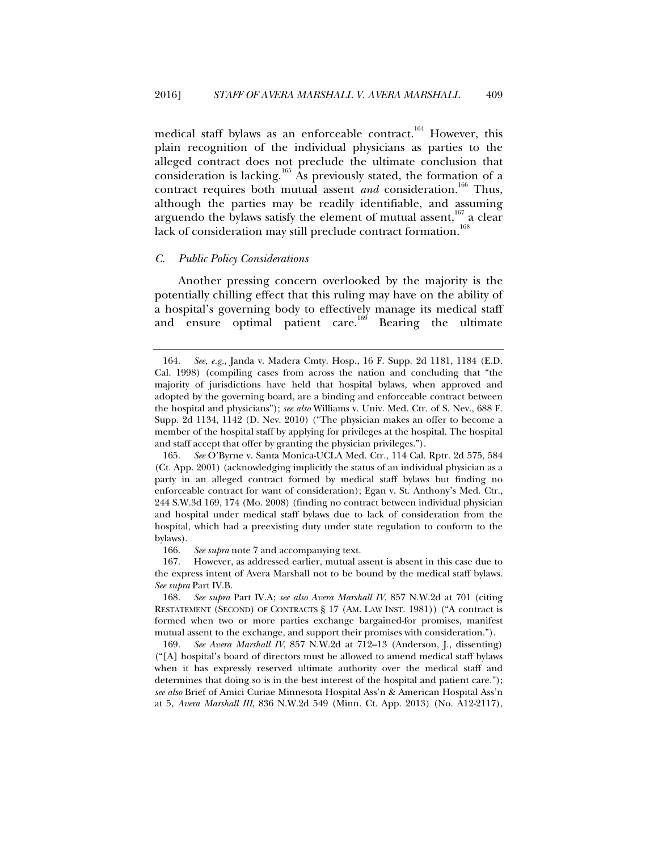medical staff bylaws as an enforceable contract.<sup>164</sup> However, this plain recognition of the individual physicians as parties to the alleged contract does not preclude the ultimate conclusion that consideration is lacking.<sup>165</sup> As previously stated, the formation of a contract requires both mutual assent *and* consideration.<sup>166</sup> Thus, although the parties may be readily identifiable, and assuming arguendo the bylaws satisfy the element of mutual assent, $167$  a clear<br>lack of consideration may still proclude contrast formation  $168$ lack of consideration may still preclude contract formation.

# *C. Public Policy Considerations*

Another pressing concern overlooked by the majority is the potentially chilling effect that this ruling may have on the ability of a hospital's governing body to effectively manage its medical staff and ensure optimal patient care.<sup>169</sup> Bearing the ultimate

 <sup>164.</sup> *See, e.g.*, Janda v. Madera Cmty. Hosp., 16 F. Supp. 2d 1181, 1184 (E.D. Cal. 1998) (compiling cases from across the nation and concluding that "the majority of jurisdictions have held that hospital bylaws, when approved and adopted by the governing board, are a binding and enforceable contract between the hospital and physicians"); *see also* Williams v. Univ. Med. Ctr. of S. Nev., 688 F. Supp. 2d 1134, 1142 (D. Nev. 2010) ("The physician makes an offer to become a member of the hospital staff by applying for privileges at the hospital. The hospital and staff accept that offer by granting the physician privileges.").

 <sup>165.</sup> *See* O'Byrne v. Santa Monica-UCLA Med. Ctr., 114 Cal. Rptr. 2d 575, 584 (Ct. App. 2001) (acknowledging implicitly the status of an individual physician as a party in an alleged contract formed by medical staff bylaws but finding no enforceable contract for want of consideration); Egan v. St. Anthony's Med. Ctr., 244 S.W.3d 169, 174 (Mo. 2008) (finding no contract between individual physician and hospital under medical staff bylaws due to lack of consideration from the hospital, which had a preexisting duty under state regulation to conform to the bylaws).

 <sup>166.</sup> *See supra* note 7 and accompanying text.

 <sup>167.</sup> However, as addressed earlier, mutual assent is absent in this case due to the express intent of Avera Marshall not to be bound by the medical staff bylaws. *See supra* Part IV.B.

 <sup>168.</sup> *See supra* Part IV.A; *see also Avera Marshall IV*, 857 N.W.2d at 701 (citing RESTATEMENT (SECOND) OF CONTRACTS § 17 (AM. LAW INST. 1981)) ("A contract is formed when two or more parties exchange bargained-for promises, manifest mutual assent to the exchange, and support their promises with consideration.").

 <sup>169.</sup> *See Avera Marshall IV*, 857 N.W.2d at 712–13 (Anderson, J., dissenting) ("[A] hospital's board of directors must be allowed to amend medical staff bylaws when it has expressly reserved ultimate authority over the medical staff and determines that doing so is in the best interest of the hospital and patient care."); *see also* Brief of Amici Curiae Minnesota Hospital Ass'n & American Hospital Ass'n at 5, *Avera Marshall III*, 836 N.W.2d 549 (Minn. Ct. App. 2013) (No. A12-2117),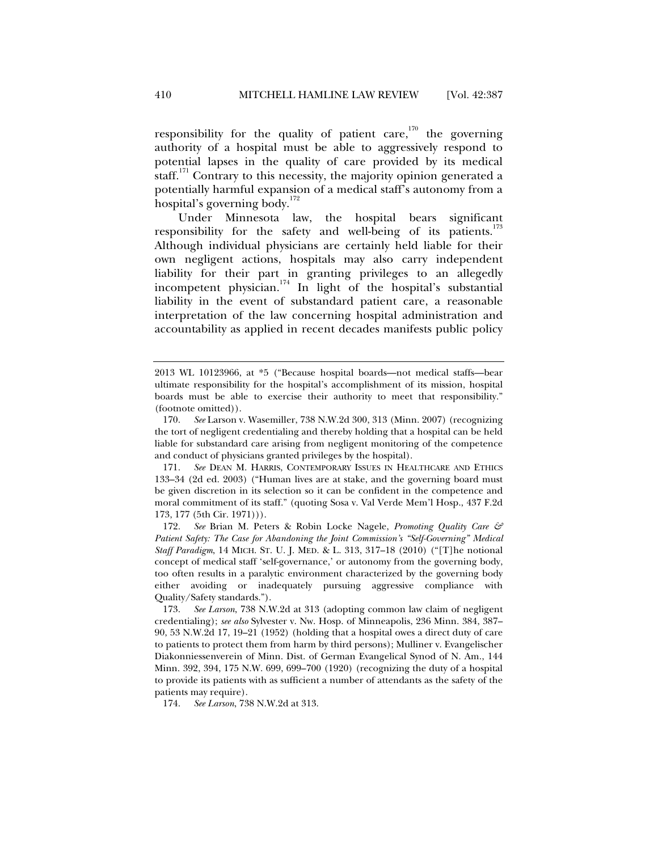responsibility for the quality of patient care,<sup>170</sup> the governing authority of a hospital must be able to aggressively respond to potential lapses in the quality of care provided by its medical staff.<sup>171</sup> Contrary to this necessity, the majority opinion generated a potentially harmful expansion of a medical staff's autonomy from a hospital's governing body. $172$ 

Under Minnesota law, the hospital bears significant responsibility for the safety and well-being of its patients. $173$ Although individual physicians are certainly held liable for their own negligent actions, hospitals may also carry independent liability for their part in granting privileges to an allegedly incompetent physician.<sup>174</sup> In light of the hospital's substantial liability in the event of substandard patient care, a reasonable interpretation of the law concerning hospital administration and accountability as applied in recent decades manifests public policy

 172. *See* Brian M. Peters & Robin Locke Nagele, *Promoting Quality Care & Patient Safety: The Case for Abandoning the Joint Commission's "Self-Governing" Medical Staff Paradigm*, 14 MICH. ST. U. J. MED. & L. 313, 317–18 (2010) ("[T]he notional concept of medical staff 'self-governance,' or autonomy from the governing body, too often results in a paralytic environment characterized by the governing body either avoiding or inadequately pursuing aggressive compliance with Quality/Safety standards.").

 173. *See Larson*, 738 N.W.2d at 313 (adopting common law claim of negligent credentialing); *see also* Sylvester v. Nw. Hosp. of Minneapolis, 236 Minn. 384, 387– 90, 53 N.W.2d 17, 19–21 (1952) (holding that a hospital owes a direct duty of care to patients to protect them from harm by third persons); Mulliner v. Evangelischer Diakonniessenverein of Minn. Dist. of German Evangelical Synod of N. Am., 144 Minn. 392, 394, 175 N.W. 699, 699–700 (1920) (recognizing the duty of a hospital to provide its patients with as sufficient a number of attendants as the safety of the patients may require).

174. *See Larson*, 738 N.W.2d at 313.

<sup>2013</sup> WL 10123966, at \*5 ("Because hospital boards—not medical staffs—bear ultimate responsibility for the hospital's accomplishment of its mission, hospital boards must be able to exercise their authority to meet that responsibility." (footnote omitted)).

 <sup>170.</sup> *See* Larson v. Wasemiller, 738 N.W.2d 300, 313 (Minn. 2007) (recognizing the tort of negligent credentialing and thereby holding that a hospital can be held liable for substandard care arising from negligent monitoring of the competence and conduct of physicians granted privileges by the hospital).

 <sup>171.</sup> *See* DEAN M. HARRIS, CONTEMPORARY ISSUES IN HEALTHCARE AND ETHICS 133–34 (2d ed. 2003) ("Human lives are at stake, and the governing board must be given discretion in its selection so it can be confident in the competence and moral commitment of its staff." (quoting Sosa v. Val Verde Mem'l Hosp., 437 F.2d 173, 177 (5th Cir. 1971))).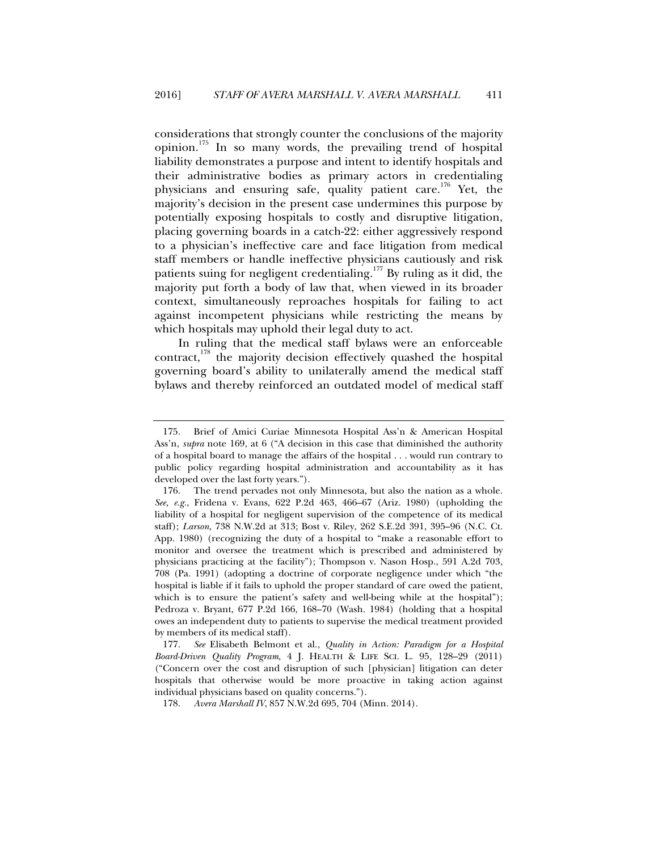considerations that strongly counter the conclusions of the majority opinion.175 In so many words, the prevailing trend of hospital liability demonstrates a purpose and intent to identify hospitals and their administrative bodies as primary actors in credentialing physicians and ensuring safe, quality patient care.<sup>176</sup> Yet, the majority's decision in the present case undermines this purpose by potentially exposing hospitals to costly and disruptive litigation, placing governing boards in a catch-22: either aggressively respond to a physician's ineffective care and face litigation from medical staff members or handle ineffective physicians cautiously and risk patients suing for negligent credentialing.<sup>177</sup> By ruling as it did, the majority put forth a body of law that, when viewed in its broader context, simultaneously reproaches hospitals for failing to act against incompetent physicians while restricting the means by which hospitals may uphold their legal duty to act.

In ruling that the medical staff bylaws were an enforceable contract, $178$  the majority decision effectively quashed the hospital governing board's ability to unilaterally amend the medical staff bylaws and thereby reinforced an outdated model of medical staff

 177. *See* Elisabeth Belmont et al., *Quality in Action: Paradigm for a Hospital Board-Driven Quality Program*, 4 J. HEALTH & LIFE SCI. L. 95, 128–29 (2011) ("Concern over the cost and disruption of such [physician] litigation can deter hospitals that otherwise would be more proactive in taking action against individual physicians based on quality concerns.").

178. *Avera Marshall IV*, 857 N.W.2d 695, 704 (Minn. 2014).

 <sup>175.</sup> Brief of Amici Curiae Minnesota Hospital Ass'n & American Hospital Ass'n, *supra* note 169, at 6 ("A decision in this case that diminished the authority of a hospital board to manage the affairs of the hospital . . . would run contrary to public policy regarding hospital administration and accountability as it has developed over the last forty years.").

 <sup>176.</sup> The trend pervades not only Minnesota, but also the nation as a whole. *See, e.g.*, Fridena v. Evans, 622 P.2d 463, 466–67 (Ariz. 1980) (upholding the liability of a hospital for negligent supervision of the competence of its medical staff); *Larson*, 738 N.W.2d at 313; Bost v. Riley, 262 S.E.2d 391, 395–96 (N.C. Ct. App. 1980) (recognizing the duty of a hospital to "make a reasonable effort to monitor and oversee the treatment which is prescribed and administered by physicians practicing at the facility"); Thompson v. Nason Hosp., 591 A.2d 703, 708 (Pa. 1991) (adopting a doctrine of corporate negligence under which "the hospital is liable if it fails to uphold the proper standard of care owed the patient, which is to ensure the patient's safety and well-being while at the hospital"); Pedroza v. Bryant, 677 P.2d 166, 168–70 (Wash. 1984) (holding that a hospital owes an independent duty to patients to supervise the medical treatment provided by members of its medical staff).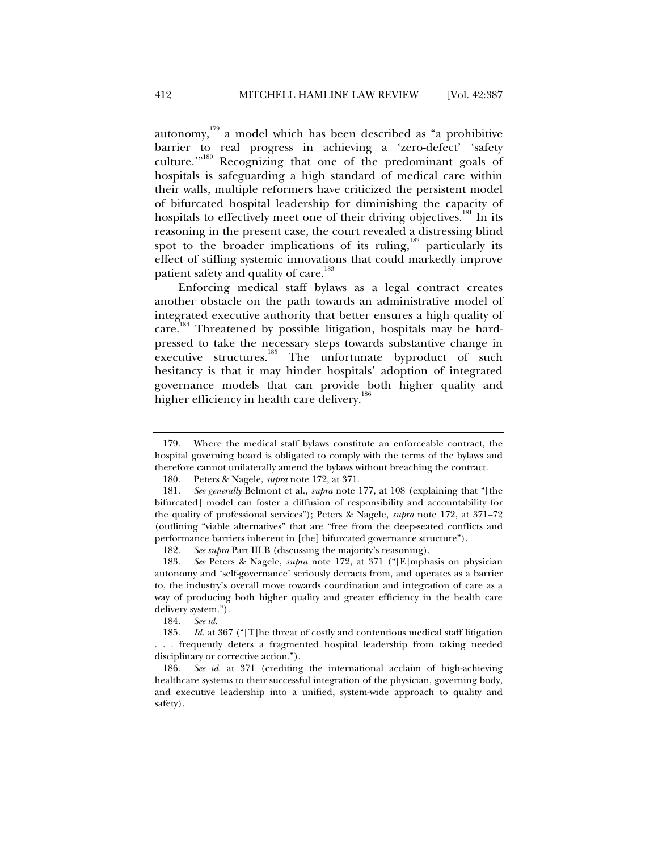autonomy, $179$  a model which has been described as "a prohibitive barrier to real progress in achieving a 'zero-defect' 'safety culture.'"180 Recognizing that one of the predominant goals of hospitals is safeguarding a high standard of medical care within their walls, multiple reformers have criticized the persistent model of bifurcated hospital leadership for diminishing the capacity of hospitals to effectively meet one of their driving objectives.<sup>181</sup> In its reasoning in the present case, the court revealed a distressing blind spot to the broader implications of its ruling, $182$  particularly its effect of stifling systemic innovations that could markedly improve patient safety and quality of care.<sup>183</sup>

Enforcing medical staff bylaws as a legal contract creates another obstacle on the path towards an administrative model of integrated executive authority that better ensures a high quality of care.<sup>184</sup> Threatened by possible litigation, hospitals may be hardpressed to take the necessary steps towards substantive change in executive structures.<sup>185</sup> The unfortunate byproduct of such hesitancy is that it may hinder hospitals' adoption of integrated governance models that can provide both higher quality and higher efficiency in health care delivery.<sup>186</sup>

184. *See id.*

 <sup>179.</sup> Where the medical staff bylaws constitute an enforceable contract, the hospital governing board is obligated to comply with the terms of the bylaws and therefore cannot unilaterally amend the bylaws without breaching the contract.

 <sup>180.</sup> Peters & Nagele, *supra* note 172, at 371.

 <sup>181.</sup> *See generally* Belmont et al., *supra* note 177, at 108 (explaining that "[the bifurcated] model can foster a diffusion of responsibility and accountability for the quality of professional services"); Peters & Nagele, *supra* note 172, at 371–72 (outlining "viable alternatives" that are "free from the deep-seated conflicts and performance barriers inherent in [the] bifurcated governance structure").

 <sup>182.</sup> *See supra* Part III.B (discussing the majority's reasoning).

 <sup>183.</sup> *See* Peters & Nagele, *supra* note 172, at 371 ("[E]mphasis on physician autonomy and 'self-governance' seriously detracts from, and operates as a barrier to, the industry's overall move towards coordination and integration of care as a way of producing both higher quality and greater efficiency in the health care delivery system.").

 <sup>185.</sup> *Id.* at 367 ("[T]he threat of costly and contentious medical staff litigation . . . frequently deters a fragmented hospital leadership from taking needed disciplinary or corrective action.").

 <sup>186.</sup> *See id.* at 371 (crediting the international acclaim of high-achieving healthcare systems to their successful integration of the physician, governing body, and executive leadership into a unified, system-wide approach to quality and safety).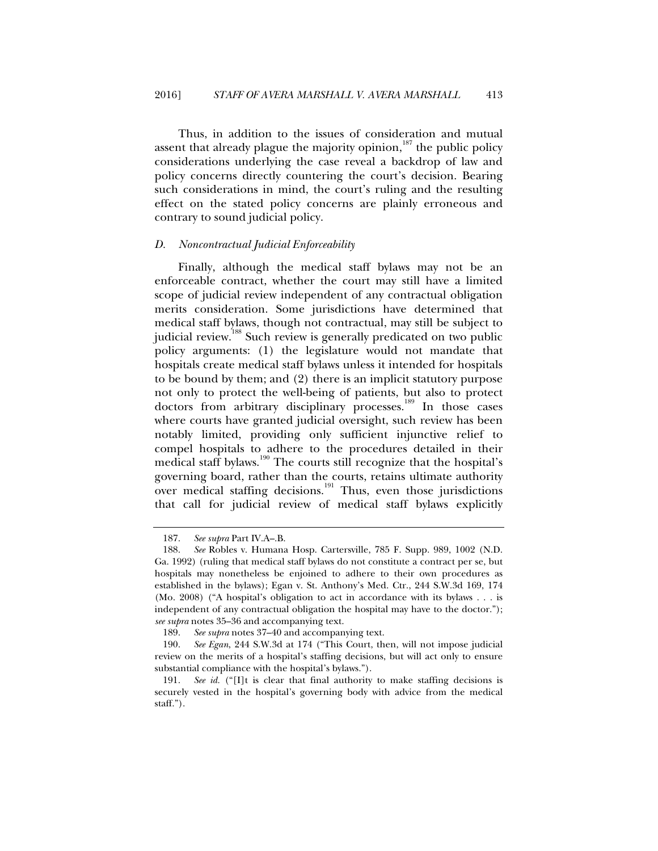Thus, in addition to the issues of consideration and mutual assent that already plague the majority opinion, $187$  the public policy considerations underlying the case reveal a backdrop of law and policy concerns directly countering the court's decision. Bearing such considerations in mind, the court's ruling and the resulting effect on the stated policy concerns are plainly erroneous and contrary to sound judicial policy.

## *D. Noncontractual Judicial Enforceability*

Finally, although the medical staff bylaws may not be an enforceable contract, whether the court may still have a limited scope of judicial review independent of any contractual obligation merits consideration. Some jurisdictions have determined that medical staff bylaws, though not contractual, may still be subject to judicial review.<sup>188</sup> Such review is generally predicated on two public policy arguments: (1) the legislature would not mandate that hospitals create medical staff bylaws unless it intended for hospitals to be bound by them; and (2) there is an implicit statutory purpose not only to protect the well-being of patients, but also to protect doctors from arbitrary disciplinary processes.<sup>189</sup> In those cases where courts have granted judicial oversight, such review has been notably limited, providing only sufficient injunctive relief to compel hospitals to adhere to the procedures detailed in their medical staff bylaws.<sup>190</sup> The courts still recognize that the hospital's governing board, rather than the courts, retains ultimate authority over medical staffing decisions.<sup>191</sup> Thus, even those jurisdictions that call for judicial review of medical staff bylaws explicitly

 <sup>187.</sup> *See supra* Part IV.A–.B.

 <sup>188.</sup> *See* Robles v. Humana Hosp. Cartersville, 785 F. Supp. 989, 1002 (N.D. Ga. 1992) (ruling that medical staff bylaws do not constitute a contract per se, but hospitals may nonetheless be enjoined to adhere to their own procedures as established in the bylaws); Egan v. St. Anthony's Med. Ctr., 244 S.W.3d 169, 174 (Mo. 2008) ("A hospital's obligation to act in accordance with its bylaws . . . is independent of any contractual obligation the hospital may have to the doctor."); *see supra* notes 35–36 and accompanying text.

 <sup>189.</sup> *See supra* notes 37–40 and accompanying text.

 <sup>190.</sup> *See Egan*, 244 S.W.3d at 174 ("This Court, then, will not impose judicial review on the merits of a hospital's staffing decisions, but will act only to ensure substantial compliance with the hospital's bylaws.").

 <sup>191.</sup> *See id.* ("[I]t is clear that final authority to make staffing decisions is securely vested in the hospital's governing body with advice from the medical staff.").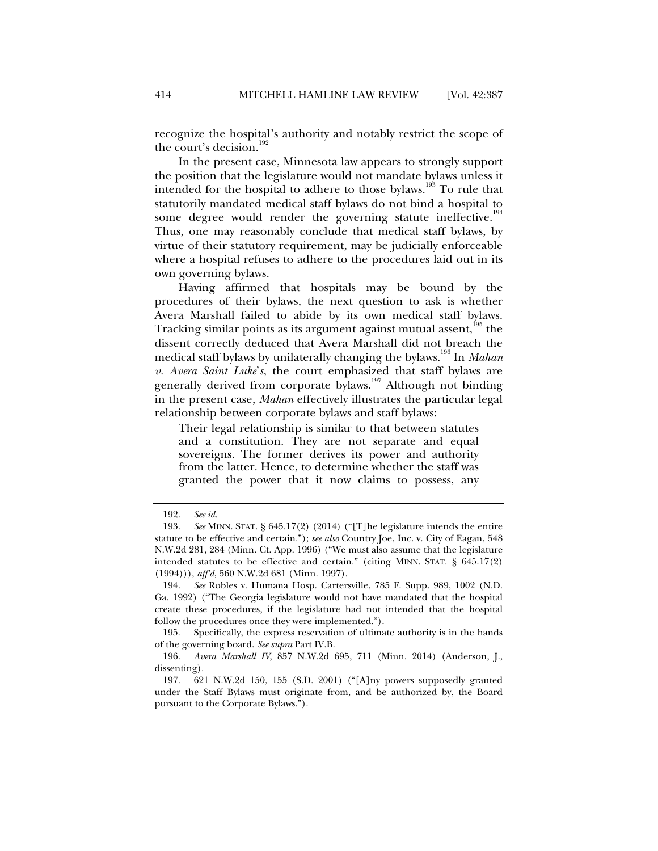recognize the hospital's authority and notably restrict the scope of the court's decision. $192$ 

In the present case, Minnesota law appears to strongly support the position that the legislature would not mandate bylaws unless it intended for the hospital to adhere to those bylaws.<sup>193</sup> To rule that statutorily mandated medical staff bylaws do not bind a hospital to some degree would render the governing statute ineffective.<sup>194</sup> Thus, one may reasonably conclude that medical staff bylaws, by virtue of their statutory requirement, may be judicially enforceable where a hospital refuses to adhere to the procedures laid out in its own governing bylaws.

Having affirmed that hospitals may be bound by the procedures of their bylaws, the next question to ask is whether Avera Marshall failed to abide by its own medical staff bylaws. Tracking similar points as its argument against mutual assent,<sup>195</sup> the dissent correctly deduced that Avera Marshall did not breach the medical staff bylaws by unilaterally changing the bylaws.196 In *Mahan v. Avera Saint Luke*'*s*, the court emphasized that staff bylaws are generally derived from corporate bylaws.<sup>197</sup> Although not binding in the present case, *Mahan* effectively illustrates the particular legal relationship between corporate bylaws and staff bylaws:

Their legal relationship is similar to that between statutes and a constitution. They are not separate and equal sovereigns. The former derives its power and authority from the latter. Hence, to determine whether the staff was granted the power that it now claims to possess, any

 <sup>192.</sup> *See id.*

 <sup>193.</sup> *See* MINN. STAT. § 645.17(2) (2014) ("[T]he legislature intends the entire statute to be effective and certain."); *see also* Country Joe, Inc. v. City of Eagan, 548 N.W.2d 281, 284 (Minn. Ct. App. 1996) ("We must also assume that the legislature intended statutes to be effective and certain." (citing MINN. STAT. § 645.17(2) (1994))), *aff'd*, 560 N.W.2d 681 (Minn. 1997).

 <sup>194.</sup> *See* Robles v. Humana Hosp. Cartersville, 785 F. Supp. 989, 1002 (N.D. Ga. 1992) ("The Georgia legislature would not have mandated that the hospital create these procedures, if the legislature had not intended that the hospital follow the procedures once they were implemented.").

 <sup>195.</sup> Specifically, the express reservation of ultimate authority is in the hands of the governing board. *See supra* Part IV.B.

 <sup>196.</sup> *Avera Marshall IV*, 857 N.W.2d 695, 711 (Minn. 2014) (Anderson, J., dissenting).

 <sup>197. 621</sup> N.W.2d 150, 155 (S.D. 2001) ("[A]ny powers supposedly granted under the Staff Bylaws must originate from, and be authorized by, the Board pursuant to the Corporate Bylaws.").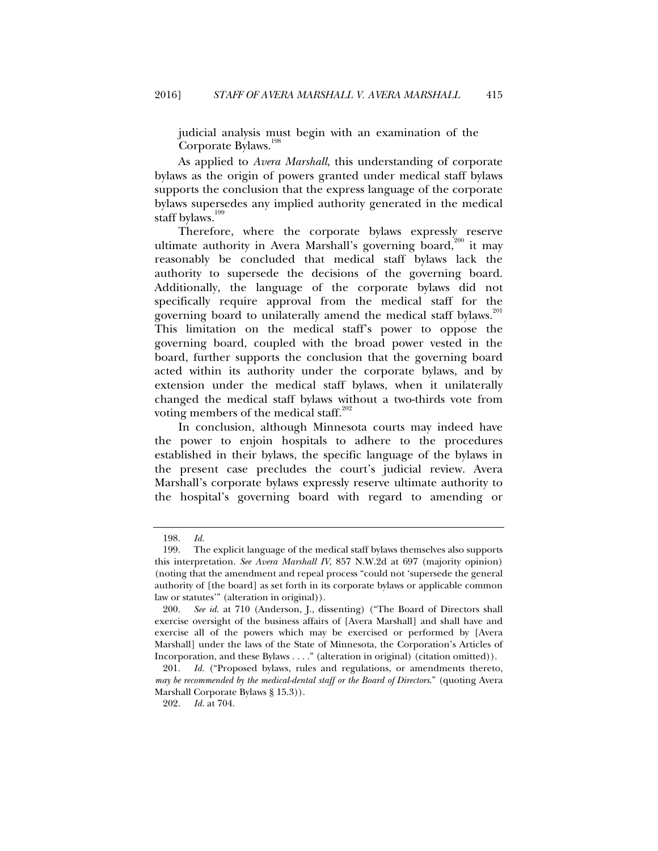judicial analysis must begin with an examination of the Corporate Bylaws.<sup>1</sup>

As applied to *Avera Marshall*, this understanding of corporate bylaws as the origin of powers granted under medical staff bylaws supports the conclusion that the express language of the corporate bylaws supersedes any implied authority generated in the medical staff bylaws.<sup>199</sup>

Therefore, where the corporate bylaws expressly reserve ultimate authority in Avera Marshall's governing board,<sup>200</sup> it may reasonably be concluded that medical staff bylaws lack the authority to supersede the decisions of the governing board. Additionally, the language of the corporate bylaws did not specifically require approval from the medical staff for the governing board to unilaterally amend the medical staff bylaws.<sup>201</sup> This limitation on the medical staff's power to oppose the governing board, coupled with the broad power vested in the board, further supports the conclusion that the governing board acted within its authority under the corporate bylaws, and by extension under the medical staff bylaws, when it unilaterally changed the medical staff bylaws without a two-thirds vote from voting members of the medical staff.<sup>202</sup>

In conclusion, although Minnesota courts may indeed have the power to enjoin hospitals to adhere to the procedures established in their bylaws, the specific language of the bylaws in the present case precludes the court's judicial review. Avera Marshall's corporate bylaws expressly reserve ultimate authority to the hospital's governing board with regard to amending or

 <sup>198.</sup> *Id.*

 <sup>199.</sup> The explicit language of the medical staff bylaws themselves also supports this interpretation. *See Avera Marshall IV*, 857 N.W.2d at 697 (majority opinion) (noting that the amendment and repeal process "could not 'supersede the general authority of [the board] as set forth in its corporate bylaws or applicable common law or statutes'" (alteration in original)).

 <sup>200.</sup> *See id.* at 710 (Anderson, J., dissenting) ("The Board of Directors shall exercise oversight of the business affairs of [Avera Marshall] and shall have and exercise all of the powers which may be exercised or performed by [Avera Marshall] under the laws of the State of Minnesota, the Corporation's Articles of Incorporation, and these Bylaws . . . ." (alteration in original) (citation omitted)).

 <sup>201.</sup> *Id.* ("Proposed bylaws, rules and regulations, or amendments thereto, *may be recommended by the medical-dental staff or the Board of Directors*." (quoting Avera Marshall Corporate Bylaws § 15.3)).

 <sup>202.</sup> *Id.* at 704.